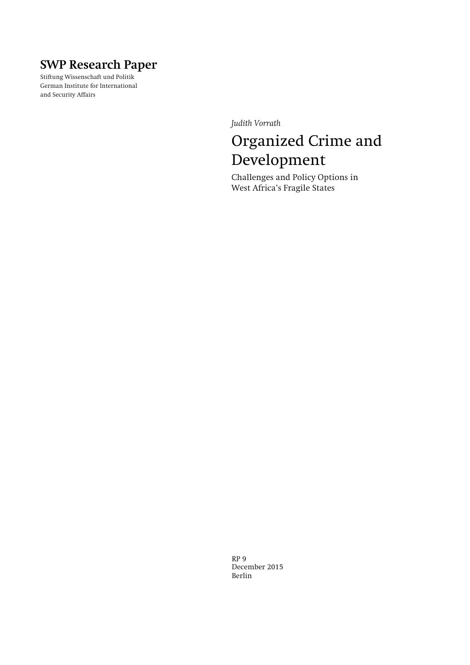# **SWP Research Paper**

**Stiftung Wissenschaft und Politik German Institute for International and Security Affairs** 

*Judith Vorrath* 

# Organized Crime and Development

**Challenges and Policy Options in West Africa's Fragile States** 

**RP 9 December 2015 Berlin**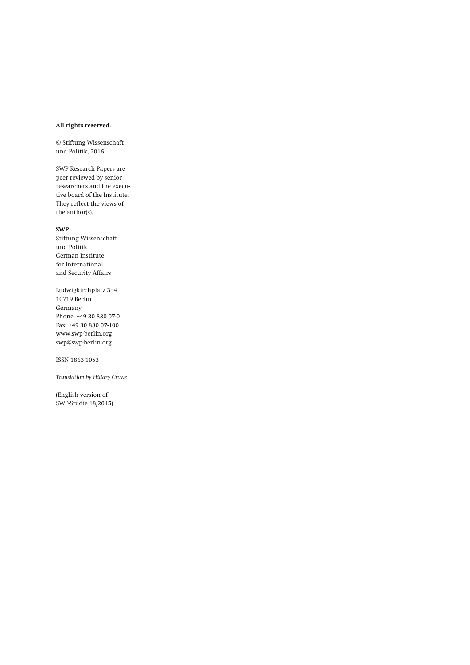#### **All rights reserved.**

**© Stiftung Wissenschaft und Politik, 2016** 

**SWP Research Papers are peer reviewed by senior researchers and the executive board of the Institute. They reflect the views of the author(s).** 

#### **SWP**

**Stiftung Wissenschaft und Politik German Institute for International and Security Affairs** 

**Ludwigkirchplatz 3−4 10719 Berlin Germany Phone +49 30 880 07-0 Fax +49 30 880 07-100 www.swp-berlin.org swp@swp-berlin.org** 

**ISSN 1863-1053** 

*Translation by Hillary Crowe* 

**(English version of SWP-Studie 18/2015)**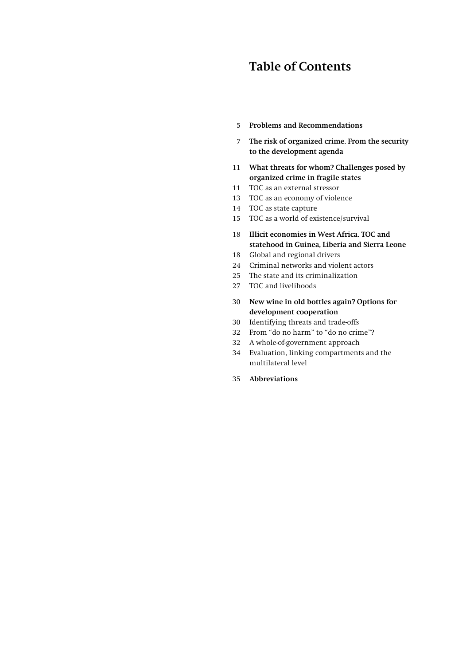## **Table of Contents**

- **5 Problems and Recommendations**
- **7 The risk of organized crime. From the security to the development agenda**
- **11 What threats for whom? Challenges posed by organized crime in fragile states**
- **11 TOC as an external stressor**
- **13 TOC as an economy of violence**
- **14 TOC as state capture**
- **15 TOC as a world of existence/survival**
- **18 Illicit economies in West Africa. TOC and statehood in Guinea, Liberia and Sierra Leone**
- **18 Global and regional drivers**
- **24 Criminal networks and violent actors**
- **25 The state and its criminalization**
- **27 TOC and livelihoods**
- **30 New wine in old bottles again? Options for development cooperation**
- **30 Identifying threats and trade-offs**
- **32 From "do no harm" to "do no crime"?**
- **32 A whole-of-government approach**
- **34 Evaluation, linking compartments and the multilateral level**
- **35 Abbreviations**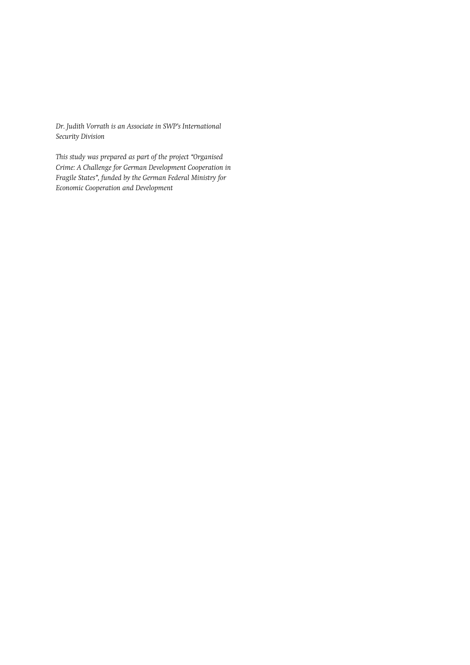*Dr. Judith Vorrath is an Associate in SWP's International Security Division* 

*This study was prepared as part of the project "Organised Crime: A Challenge for German Development Cooperation in Fragile States", funded by the German Federal Ministry for Economic Cooperation and Development*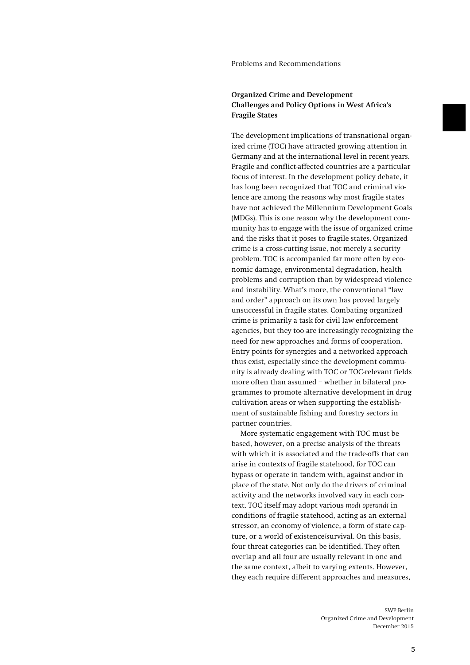#### **Problems and Recommendations**

### **Organized Crime and Development Challenges and Policy Options in West Africa's Fragile States**

**The development implications of transnational organized crime (TOC) have attracted growing attention in Germany and at the international level in recent years. Fragile and conflict-affected countries are a particular focus of interest. In the development policy debate, it has long been recognized that TOC and criminal violence are among the reasons why most fragile states have not achieved the Millennium Development Goals (MDGs). This is one reason why the development community has to engage with the issue of organized crime and the risks that it poses to fragile states. Organized crime is a cross-cutting issue, not merely a security problem. TOC is accompanied far more often by economic damage, environmental degradation, health problems and corruption than by widespread violence and instability. What's more, the conventional "law and order" approach on its own has proved largely unsuccessful in fragile states. Combating organized crime is primarily a task for civil law enforcement agencies, but they too are increasingly recognizing the need for new approaches and forms of cooperation. Entry points for synergies and a networked approach thus exist, especially since the development community is already dealing with TOC or TOC-relevant fields more often than assumed – whether in bilateral programmes to promote alternative development in drug cultivation areas or when supporting the establishment of sustainable fishing and forestry sectors in partner countries.** 

**More systematic engagement with TOC must be based, however, on a precise analysis of the threats with which it is associated and the trade-offs that can arise in contexts of fragile statehood, for TOC can bypass or operate in tandem with, against and/or in place of the state. Not only do the drivers of criminal activity and the networks involved vary in each context. TOC itself may adopt various** *modi operandi* **in conditions of fragile statehood, acting as an external stressor, an economy of violence, a form of state capture, or a world of existence/survival. On this basis, four threat categories can be identified. They often overlap and all four are usually relevant in one and the same context, albeit to varying extents. However, they each require different approaches and measures,**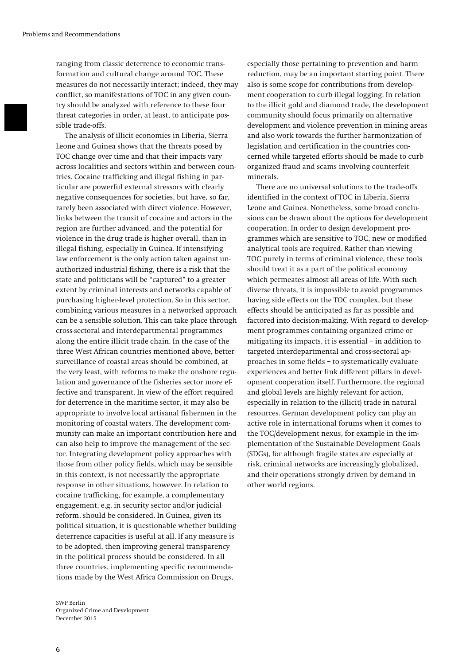**ranging from classic deterrence to economic transformation and cultural change around TOC. These measures do not necessarily interact; indeed, they may conflict, so manifestations of TOC in any given country should be analyzed with reference to these four threat categories in order, at least, to anticipate possible trade-offs.** 

**The analysis of illicit economies in Liberia, Sierra Leone and Guinea shows that the threats posed by TOC change over time and that their impacts vary across localities and sectors within and between countries. Cocaine trafficking and illegal fishing in particular are powerful external stressors with clearly negative consequences for societies, but have, so far, rarely been associated with direct violence. However, links between the transit of cocaine and actors in the region are further advanced, and the potential for violence in the drug trade is higher overall, than in illegal fishing, especially in Guinea. If intensifying law enforcement is the only action taken against unauthorized industrial fishing, there is a risk that the state and politicians will be "captured" to a greater extent by criminal interests and networks capable of purchasing higher-level protection. So in this sector, combining various measures in a networked approach can be a sensible solution. This can take place through cross-sectoral and interdepartmental programmes along the entire illicit trade chain. In the case of the three West African countries mentioned above, better surveillance of coastal areas should be combined, at the very least, with reforms to make the onshore regulation and governance of the fisheries sector more effective and transparent. In view of the effort required for deterrence in the maritime sector, it may also be appropriate to involve local artisanal fishermen in the monitoring of coastal waters. The development community can make an important contribution here and can also help to improve the management of the sector. Integrating development policy approaches with those from other policy fields, which may be sensible in this context, is not necessarily the appropriate response in other situations, however. In relation to cocaine trafficking, for example, a complementary engagement, e.g. in security sector and/or judicial reform, should be considered. In Guinea, given its political situation, it is questionable whether building deterrence capacities is useful at all. If any measure is to be adopted, then improving general transparency in the political process should be considered. In all three countries, implementing specific recommendations made by the West Africa Commission on Drugs,** 

**SWP Berlin Organized Crime and Development December 2015** 

**especially those pertaining to prevention and harm reduction, may be an important starting point. There also is some scope for contributions from development cooperation to curb illegal logging. In relation to the illicit gold and diamond trade, the development community should focus primarily on alternative development and violence prevention in mining areas and also work towards the further harmonization of legislation and certification in the countries concerned while targeted efforts should be made to curb organized fraud and scams involving counterfeit minerals.** 

**There are no universal solutions to the trade-offs identified in the context of TOC in Liberia, Sierra Leone and Guinea. Nonetheless, some broad conclusions can be drawn about the options for development cooperation. In order to design development programmes which are sensitive to TOC, new or modified analytical tools are required. Rather than viewing TOC purely in terms of criminal violence, these tools should treat it as a part of the political economy which permeates almost all areas of life. With such diverse threats, it is impossible to avoid programmes having side effects on the TOC complex, but these effects should be anticipated as far as possible and factored into decision-making. With regard to development programmes containing organized crime or mitigating its impacts, it is essential – in addition to targeted interdepartmental and cross-sectoral approaches in some fields – to systematically evaluate experiences and better link different pillars in development cooperation itself. Furthermore, the regional and global levels are highly relevant for action, especially in relation to the (illicit) trade in natural resources. German development policy can play an active role in international forums when it comes to the TOC/development nexus, for example in the implementation of the Sustainable Development Goals (SDGs), for although fragile states are especially at risk, criminal networks are increasingly globalized, and their operations strongly driven by demand in other world regions.**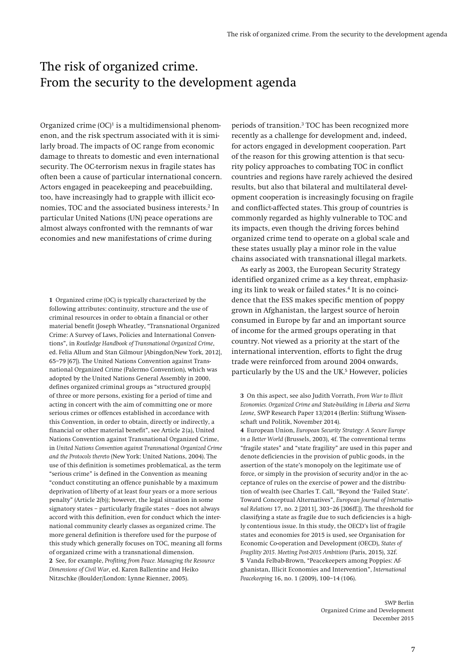### The risk of organized crime. From the security to the development agenda

**Organized crime (OC)1 is a multidimensional phenomenon, and the risk spectrum associated with it is similarly broad. The impacts of OC range from economic damage to threats to domestic and even international security. The OC-terrorism nexus in fragile states has often been a cause of particular international concern. Actors engaged in peacekeeping and peacebuilding, too, have increasingly had to grapple with illicit economies, TOC and the associated business interests.2 In particular United Nations (UN) peace operations are almost always confronted with the remnants of war economies and new manifestations of crime during** 

**1 Organized crime (OC) is typically characterized by the following attributes: continuity, structure and the use of criminal resources in order to obtain a financial or other material benefit (Joseph Wheatley, "Transnational Organized Crime: A Survey of Laws, Policies and International Conventions", in** *Routledge Handbook of Transnational Organized Crime***, ed. Felia Allum and Stan Gilmour [Abingdon/New York, 2012], 65–79 [67]). The United Nations Convention against Transnational Organized Crime (Palermo Convention), which was adopted by the United Nations General Assembly in 2000, defines organized criminal groups as "structured group[s] of three or more persons, existing for a period of time and acting in concert with the aim of committing one or more serious crimes or offences established in accordance with this Convention, in order to obtain, directly or indirectly, a financial or other material benefit", see Article 2 (a), United Nations Convention against Transnational Organized Crime, in** *United Nations Convention against Transnational Organized Crime and the Protocols thereto* **(New York: United Nations, 2004). The use of this definition is sometimes problematical, as the term "serious crime" is defined in the Convention as meaning "conduct constituting an offence punishable by a maximum deprivation of liberty of at least four years or a more serious penalty" (Article 2(b)); however, the legal situation in some signatory states – particularly fragile states – does not always accord with this definition, even for conduct which the international community clearly classes as organized crime. The more general definition is therefore used for the purpose of this study which generally focuses on TOC, meaning all forms of organized crime with a transnational dimension. 2 See, for example,** *Profiting from Peace. Managing the Resource Dimensions of Civil War***, ed. Karen Ballentine and Heiko Nitzschke (Boulder/London: Lynne Rienner, 2005).** 

**periods of transition.3 TOC has been recognized more recently as a challenge for development and, indeed, for actors engaged in development cooperation. Part of the reason for this growing attention is that security policy approaches to combating TOC in conflict countries and regions have rarely achieved the desired results, but also that bilateral and multilateral development cooperation is increasingly focusing on fragile and conflict-affected states. This group of countries is commonly regarded as highly vulnerable to TOC and its impacts, even though the driving forces behind organized crime tend to operate on a global scale and these states usually play a minor role in the value chains associated with transnational illegal markets.** 

**As early as 2003, the European Security Strategy identified organized crime as a key threat, emphasizing its link to weak or failed states.4 It is no coincidence that the ESS makes specific mention of poppy grown in Afghanistan, the largest source of heroin consumed in Europe by far and an important source of income for the armed groups operating in that country. Not viewed as a priority at the start of the international intervention, efforts to fight the drug trade were reinforced from around 2004 onwards, particularly by the US and the UK.5 However, policies** 

**3 On this aspect, see also Judith Vorrath,** *From War to Illicit Economies. Organized Crime and State-building in Liberia and Sierra Leone***, SWP Research Paper 13/2014 (Berlin: Stiftung Wissenschaft und Politik, November 2014).** 

**4 European Union,** *European Security Strategy: A Secure Europe in a Better World* **(Brussels, 2003), 4f. The conventional terms "fragile states" and "state fragility" are used in this paper and denote deficiencies in the provision of public goods, in the assertion of the state's monopoly on the legitimate use of force, or simply in the provision of security and/or in the acceptance of rules on the exercise of power and the distribution of wealth (see Charles T. Call, "Beyond the 'Failed State'. Toward Conceptual Alternatives",** *European Journal of International Relations* **17, no. 2 [2011], 303–26 [306ff.]). The threshold for classifying a state as fragile due to such deficiencies is a highly contentious issue. In this study, the OECD's list of fragile states and economies for 2015 is used, see Organisation for Economic Co-operation and Development (OECD),** *States of Fragility 2015. Meeting Post-2015 Ambitions* **(Paris, 2015), 32f. 5 Vanda Felbab-Brown, "Peacekeepers among Poppies: Afghanistan, Illicit Economies and Intervention",** *International Peacekeeping* **16, no. 1 (2009), 100–14 (106).**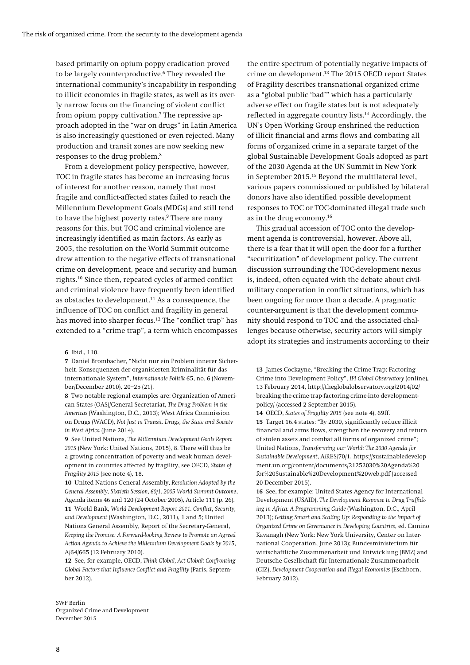**based primarily on opium poppy eradication proved to be largely counterproductive.6 They revealed the international community's incapability in responding to illicit economies in fragile states, as well as its overly narrow focus on the financing of violent conflict from opium poppy cultivation.7 The repressive approach adopted in the "war on drugs" in Latin America is also increasingly questioned or even rejected. Many production and transit zones are now seeking new responses to the drug problem.8**

**From a development policy perspective, however, TOC in fragile states has become an increasing focus of interest for another reason, namely that most fragile and conflict-affected states failed to reach the Millennium Development Goals (MDGs) and still tend to have the highest poverty rates.9 There are many reasons for this, but TOC and criminal violence are increasingly identified as main factors. As early as 2005, the resolution on the World Summit outcome drew attention to the negative effects of transnational crime on development, peace and security and human rights.10 Since then, repeated cycles of armed conflict and criminal violence have frequently been identified as obstacles to development.11 As a consequence, the influence of TOC on conflict and fragility in general has moved into sharper focus.12 The "conflict trap" has extended to a "crime trap", a term which encompasses** 

**6 Ibid., 110.** 

**7 Daniel Brombacher, "Nicht nur ein Problem innerer Sicherheit. Konsequenzen der organisierten Kriminalität für das internationale System",** *Internationale Politik* **65, no. 6 (November/December 2010), 20–25 (21).** 

**8 Two notable regional examples are: Organization of American States (OAS)/General Secretariat,** *The Drug Problem in the Americas* **(Washington, D.C., 2013); West Africa Commission on Drugs (WACD),** *Not Just in Transit. Drugs, the State and Society in West Africa* **(June 2014).** 

**9 See United Nations,** *The Millennium Development Goals Report 2015* **(New York: United Nations, 2015), 8. There will thus be a growing concentration of poverty and weak human development in countries affected by fragility, see OECD,** *States of Fragility 2015* **(see note 4), 18.** 

**10 United Nations General Assembly,** *Resolution Adopted by the General Assembly, Sixtieth Session, 60/1. 2005 World Summit Outcome***, Agenda items 46 and 120 (24 October 2005), Article 111 (p. 26). 11 World Bank,** *World Development Report 2011. Conflict, Security, and Development* **(Washington, D.C., 2011), 1 and 5; United Nations General Assembly, Report of the Secretary-General,**  *Keeping the Promise: A Forward-looking Review to Promote an Agreed Action Agenda to Achieve the Millennium Development Goals by 2015***, A/64/665 (12 February 2010).** 

**12 See, for example, OECD,** *Think Global, Act Global: Confronting Global Factors that Influence Conflict and Fragility* **(Paris, September 2012).** 

**the entire spectrum of potentially negative impacts of crime on development.13 The 2015 OECD report States of Fragility describes transnational organized crime as a "global public 'bad'" which has a particularly adverse effect on fragile states but is not adequately reflected in aggregate country lists.14 Accordingly, the UN's Open Working Group enshrined the reduction of illicit financial and arms flows and combating all forms of organized crime in a separate target of the global Sustainable Development Goals adopted as part of the 2030 Agenda at the UN Summit in New York in September 2015.15 Beyond the multilateral level, various papers commissioned or published by bilateral donors have also identified possible development responses to TOC or TOC-dominated illegal trade such as in the drug economy.16**

**This gradual accession of TOC onto the development agenda is controversial, however. Above all, there is a fear that it will open the door for a further "securitization" of development policy. The current discussion surrounding the TOC-development nexus is, indeed, often equated with the debate about civilmilitary cooperation in conflict situations, which has been ongoing for more than a decade. A pragmatic counter-argument is that the development community should respond to TOC and the associated challenges because otherwise, security actors will simply adopt its strategies and instruments according to their** 

**13 James Cockayne, "Breaking the Crime Trap: Factoring Crime into Development Policy",** *IPI Global Observatory* **(online), 13 February 2014, http://theglobalobservatory.org/2014/02/ breaking-the-crime-trap-factoring-crime-into-developmentpolicy/ (accessed 2 September 2015).** 

**14 OECD,** *States of Fragility 2015* **(see note 4), 69ff. 15 Target 16.4 states: "By 2030, significantly reduce illicit financial and arms flows, strengthen the recovery and return of stolen assets and combat all forms of organized crime"; United Nations,** *Transforming our World: The 2030 Agenda for Sustainable Development***, A/RES/70/1, https://sustainabledevelop ment.un.org/content/documents/21252030%20Agenda%20 for%20Sustainable%20Development%20web.pdf (accessed 20 December 2015).** 

**16 See, for example: United States Agency for International Development (USAID),** *The Development Response to Drug Trafficking in Africa: A Programming Guide* **(Washington, D.C., April 2013);** *Getting Smart and Scaling Up: Responding to the Impact of Organized Crime on Governance in Developing Countries***, ed. Camino Kavanagh (New York: New York University, Center on International Cooperation, June 2013); Bundesministerium für wirtschaftliche Zusammenarbeit und Entwicklung (BMZ) and Deutsche Gesellschaft für Internationale Zusammenarbeit (GIZ),** *Development Cooperation and Illegal Economies* **(Eschborn, February 2012).**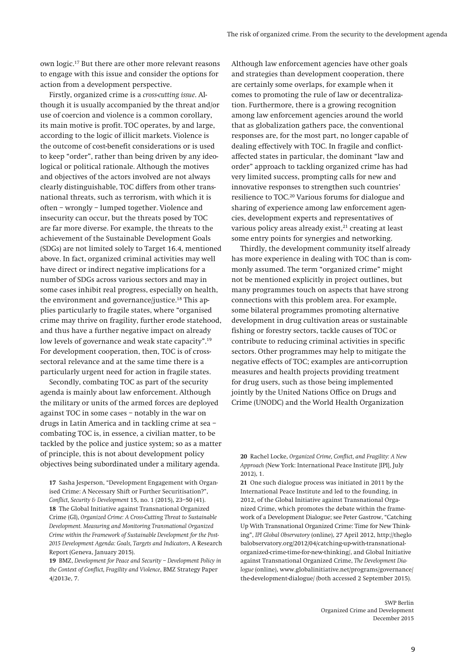**own logic.17 But there are other more relevant reasons to engage with this issue and consider the options for action from a development perspective.** 

**Firstly, organized crime is a** *cross-cutting issue***. Although it is usually accompanied by the threat and/or use of coercion and violence is a common corollary, its main motive is profit. TOC operates, by and large, according to the logic of illicit markets. Violence is the outcome of cost-benefit considerations or is used to keep "order", rather than being driven by any ideological or political rationale. Although the motives and objectives of the actors involved are not always clearly distinguishable, TOC differs from other transnational threats, such as terrorism, with which it is often – wrongly – lumped together. Violence and insecurity can occur, but the threats posed by TOC are far more diverse. For example, the threats to the achievement of the Sustainable Development Goals (SDGs) are not limited solely to Target 16.4, mentioned above. In fact, organized criminal activities may well have direct or indirect negative implications for a number of SDGs across various sectors and may in some cases inhibit real progress, especially on health, the environment and governance/justice.18 This applies particularly to fragile states, where "organised crime may thrive on fragility, further erode statehood, and thus have a further negative impact on already low levels of governance and weak state capacity".19 For development cooperation, then, TOC is of crosssectoral relevance and at the same time there is a particularly urgent need for action in fragile states.** 

**Secondly, combating TOC as part of the security agenda is mainly about law enforcement. Although the military or units of the armed forces are deployed against TOC in some cases – notably in the war on drugs in Latin America and in tackling crime at sea – combating TOC is, in essence, a civilian matter, to be tackled by the police and justice system; so as a matter of principle, this is not about development policy objectives being subordinated under a military agenda.** 

**17 Sasha Jesperson, "Development Engagement with Organised Crime: A Necessary Shift or Further Securitisation?",**  *Conflict, Security & Development* **15, no. 1 (2015), 23–50 (41). 18 The Global Initiative against Transnational Organized Crime (GI),** *Organized Crime: A Cross-Cutting Threat to Sustainable Development. Measuring and Monitoring Transnational Organized Crime within the Framework of Sustainable Development for the Post-2015 Development Agenda: Goals, Targets and Indicators***, A Research Report (Geneva, January 2015).** 

**19 BMZ,** *Development for Peace and Security – Development Policy in the Context of Conflict, Fragility and Violence***, BMZ Strategy Paper 4/2013e, 7.** 

**Although law enforcement agencies have other goals and strategies than development cooperation, there are certainly some overlaps, for example when it comes to promoting the rule of law or decentralization. Furthermore, there is a growing recognition among law enforcement agencies around the world that as globalization gathers pace, the conventional responses are, for the most part, no longer capable of dealing effectively with TOC. In fragile and conflictaffected states in particular, the dominant "law and order" approach to tackling organized crime has had very limited success, prompting calls for new and innovative responses to strengthen such countries' resilience to TOC.20 Various forums for dialogue and sharing of experience among law enforcement agencies, development experts and representatives of**  various policy areas already exist,<sup>21</sup> creating at least **some entry points for synergies and networking.** 

**Thirdly, the development community itself already has more experience in dealing with TOC than is commonly assumed. The term "organized crime" might not be mentioned explicitly in project outlines, but many programmes touch on aspects that have strong connections with this problem area. For example, some bilateral programmes promoting alternative development in drug cultivation areas or sustainable fishing or forestry sectors, tackle causes of TOC or contribute to reducing criminal activities in specific sectors. Other programmes may help to mitigate the negative effects of TOC; examples are anti-corruption measures and health projects providing treatment for drug users, such as those being implemented jointly by the United Nations Office on Drugs and Crime (UNODC) and the World Health Organization** 

**21 One such dialogue process was initiated in 2011 by the International Peace Institute and led to the founding, in 2012, of the Global Initiative against Transnational Organized Crime, which promotes the debate within the framework of a Development Dialogue; see Peter Gastrow, "Catching Up With Transnational Organized Crime: Time for New Thinking",** *IPI Global Observatory* **(online), 27 April 2012, http://theglo balobservatory.org/2012/04/catching-up-with-transnationalorganized-crime-time-for-new-thinking/, and Global Initiative against Transnational Organized Crime,** *The Development Dialogue* **(online), www.globalinitiative.net/programs/governance/ the-development-dialogue/ (both accessed 2 September 2015).** 

**<sup>20</sup> Rachel Locke,** *Organized Crime, Conflict, and Fragility: A New Approach* **(New York: International Peace Institute [IPI], July 2012), 1.**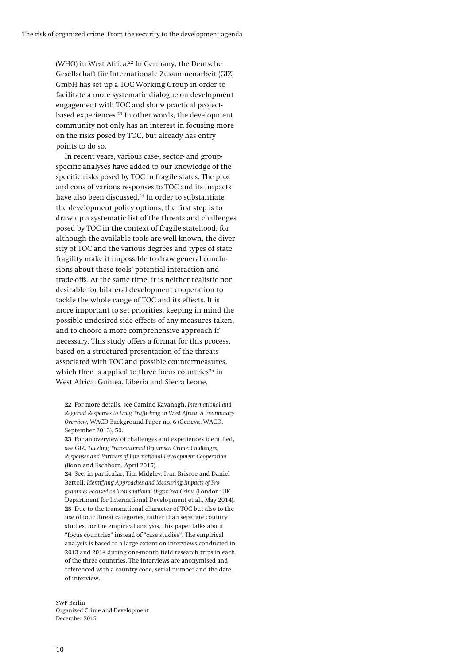**(WHO) in West Africa.22 In Germany, the Deutsche Gesellschaft für Internationale Zusammenarbeit (GIZ) GmbH has set up a TOC Working Group in order to facilitate a more systematic dialogue on development engagement with TOC and share practical projectbased experiences.23 In other words, the development community not only has an interest in focusing more on the risks posed by TOC, but already has entry points to do so.** 

**In recent years, various case-, sector- and groupspecific analyses have added to our knowledge of the specific risks posed by TOC in fragile states. The pros and cons of various responses to TOC and its impacts have also been discussed.24 In order to substantiate the development policy options, the first step is to draw up a systematic list of the threats and challenges posed by TOC in the context of fragile statehood, for although the available tools are well-known, the diversity of TOC and the various degrees and types of state fragility make it impossible to draw general conclusions about these tools' potential interaction and trade-offs. At the same time, it is neither realistic nor desirable for bilateral development cooperation to tackle the whole range of TOC and its effects. It is more important to set priorities, keeping in mind the possible undesired side effects of any measures taken, and to choose a more comprehensive approach if necessary. This study offers a format for this process, based on a structured presentation of the threats associated with TOC and possible countermeasures,**  which then is applied to three focus countries<sup>25</sup> in **West Africa: Guinea, Liberia and Sierra Leone.** 

**22 For more details, see Camino Kavanagh,** *International and Regional Responses to Drug Trafficking in West Africa. A Preliminary Overview***, WACD Background Paper no. 6 (Geneva: WACD, September 2013), 50.** 

**23 For an overview of challenges and experiences identified, see GIZ,** *Tackling Transnational Organised Crime: Challenges, Responses and Partners of International Development Cooperation* **(Bonn and Eschborn, April 2015).** 

**24 See, in particular, Tim Midgley, Ivan Briscoe and Daniel Bertoli,** *Identifying Approaches and Measuring Impacts of Programmes Focused on Transnational Organised Crime* **(London: UK Department for International Development et al., May 2014). 25 Due to the transnational character of TOC but also to the use of four threat categories, rather than separate country studies, for the empirical analysis, this paper talks about "focus countries" instead of "case studies". The empirical analysis is based to a large extent on interviews conducted in 2013 and 2014 during one-month field research trips in each of the three countries. The interviews are anonymised and referenced with a country code, serial number and the date of interview.**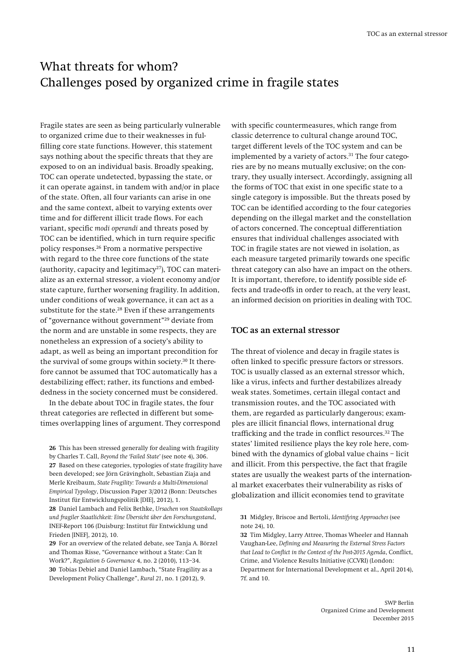# What threats for whom? Challenges posed by organized crime in fragile states

**Fragile states are seen as being particularly vulnerable to organized crime due to their weaknesses in fulfilling core state functions. However, this statement says nothing about the specific threats that they are exposed to on an individual basis. Broadly speaking, TOC can operate undetected, bypassing the state, or it can operate against, in tandem with and/or in place of the state. Often, all four variants can arise in one and the same context, albeit to varying extents over time and for different illicit trade flows. For each variant, specific** *modi operandi* **and threats posed by TOC can be identified, which in turn require specific policy responses.26 From a normative perspective with regard to the three core functions of the state**  (authority, capacity and legitimacy<sup>27</sup>), TOC can materi**alize as an external stressor, a violent economy and/or state capture, further worsening fragility. In addition, under conditions of weak governance, it can act as a substitute for the state.28 Even if these arrangements of "governance without government"29 deviate from the norm and are unstable in some respects, they are nonetheless an expression of a society's ability to adapt, as well as being an important precondition for the survival of some groups within society.30 It therefore cannot be assumed that TOC automatically has a destabilizing effect; rather, its functions and embeddedness in the society concerned must be considered.** 

**In the debate about TOC in fragile states, the four threat categories are reflected in different but sometimes overlapping lines of argument. They correspond** 

**26 This has been stressed generally for dealing with fragility by Charles T. Call,** *Beyond the 'Failed State'* **(see note 4), 306. 27 Based on these categories, typologies of state fragility have been developed; see Jörn Grävingholt, Sebastian Ziaja and Merle Kreibaum,** *State Fragility: Towards a Multi-Dimensional Empirical Typology***, Discussion Paper 3/2012 (Bonn: Deutsches Institut für Entwicklungspolitik [DIE], 2012), 1.** 

**28 Daniel Lambach and Felix Bethke,** *Ursachen von Staatskollaps und fragiler Staatlichkeit: Eine Übersicht über den Forschungsstand***, INEF-Report 106 (Duisburg: Institut für Entwicklung und Frieden [INEF], 2012), 10.** 

**29 For an overview of the related debate, see Tanja A. Börzel and Thomas Risse, "Governance without a State: Can It Work?",** *Regulation & Governance* **4, no. 2 (2010), 113–34. 30 Tobias Debiel and Daniel Lambach, "State Fragility as a Development Policy Challenge",** *Rural 21***, no. 1 (2012), 9.** 

**with specific countermeasures, which range from classic deterrence to cultural change around TOC, target different levels of the TOC system and can be**  implemented by a variety of actors.<sup>31</sup> The four catego**ries are by no means mutually exclusive; on the contrary, they usually intersect. Accordingly, assigning all the forms of TOC that exist in one specific state to a single category is impossible. But the threats posed by TOC can be identified according to the four categories depending on the illegal market and the constellation of actors concerned. The conceptual differentiation ensures that individual challenges associated with TOC in fragile states are not viewed in isolation, as each measure targeted primarily towards one specific threat category can also have an impact on the others. It is important, therefore, to identify possible side effects and trade-offs in order to reach, at the very least, an informed decision on priorities in dealing with TOC.** 

#### **TOC as an external stressor**

**The threat of violence and decay in fragile states is often linked to specific pressure factors or stressors. TOC is usually classed as an external stressor which, like a virus, infects and further destabilizes already weak states. Sometimes, certain illegal contact and transmission routes, and the TOC associated with them, are regarded as particularly dangerous; examples are illicit financial flows, international drug trafficking and the trade in conflict resources.32 The states' limited resilience plays the key role here, combined with the dynamics of global value chains – licit and illicit. From this perspective, the fact that fragile states are usually the weakest parts of the international market exacerbates their vulnerability as risks of globalization and illicit economies tend to gravitate** 

**32 Tim Midgley, Larry Attree, Thomas Wheeler and Hannah Vaughan-Lee,** *Defining and Measuring the External Stress Factors that Lead to Conflict in the Context of the Post-2015 Agenda***, Conflict, Crime, and Violence Results Initiative (CCVRI) (London: Department for International Development et al., April 2014), 7f. and 10.** 

**<sup>31</sup> Midgley, Briscoe and Bertoli,** *Identifying Approaches* **(see note 24), 10.**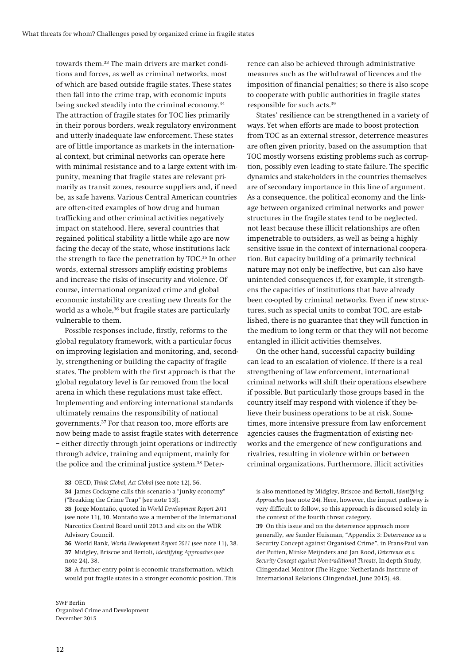**towards them.33 The main drivers are market conditions and forces, as well as criminal networks, most of which are based outside fragile states. These states then fall into the crime trap, with economic inputs being sucked steadily into the criminal economy.34 The attraction of fragile states for TOC lies primarily in their porous borders, weak regulatory environment and utterly inadequate law enforcement. These states are of little importance as markets in the international context, but criminal networks can operate here with minimal resistance and to a large extent with impunity, meaning that fragile states are relevant primarily as transit zones, resource suppliers and, if need be, as safe havens. Various Central American countries are often-cited examples of how drug and human trafficking and other criminal activities negatively impact on statehood. Here, several countries that regained political stability a little while ago are now facing the decay of the state, whose institutions lack the strength to face the penetration by TOC.35 In other words, external stressors amplify existing problems and increase the risks of insecurity and violence. Of course, international organized crime and global economic instability are creating new threats for the**  world as a whole,<sup>36</sup> but fragile states are particularly **vulnerable to them.** 

**Possible responses include, firstly, reforms to the global regulatory framework, with a particular focus on improving legislation and monitoring, and, secondly, strengthening or building the capacity of fragile states. The problem with the first approach is that the global regulatory level is far removed from the local arena in which these regulations must take effect. Implementing and enforcing international standards ultimately remains the responsibility of national governments.37 For that reason too, more efforts are now being made to assist fragile states with deterrence – either directly through joint operations or indirectly through advice, training and equipment, mainly for the police and the criminal justice system.38 Deter-**

**38 A further entry point is economic transformation, which would put fragile states in a stronger economic position. This** 

**SWP Berlin Organized Crime and Development December 2015** 

**rence can also be achieved through administrative measures such as the withdrawal of licences and the imposition of financial penalties; so there is also scope to cooperate with public authorities in fragile states responsible for such acts.39**

**States' resilience can be strengthened in a variety of ways. Yet when efforts are made to boost protection from TOC as an external stressor, deterrence measures are often given priority, based on the assumption that TOC mostly worsens existing problems such as corruption, possibly even leading to state failure. The specific dynamics and stakeholders in the countries themselves are of secondary importance in this line of argument. As a consequence, the political economy and the linkage between organized criminal networks and power structures in the fragile states tend to be neglected, not least because these illicit relationships are often impenetrable to outsiders, as well as being a highly sensitive issue in the context of international cooperation. But capacity building of a primarily technical nature may not only be ineffective, but can also have unintended consequences if, for example, it strengthens the capacities of institutions that have already been co-opted by criminal networks. Even if new structures, such as special units to combat TOC, are established, there is no guarantee that they will function in the medium to long term or that they will not become entangled in illicit activities themselves.** 

**On the other hand, successful capacity building can lead to an escalation of violence. If there is a real strengthening of law enforcement, international criminal networks will shift their operations elsewhere if possible. But particularly those groups based in the country itself may respond with violence if they believe their business operations to be at risk. Sometimes, more intensive pressure from law enforcement agencies causes the fragmentation of existing networks and the emergence of new configurations and rivalries, resulting in violence within or between criminal organizations. Furthermore, illicit activities** 

**39 On this issue and on the deterrence approach more generally, see Sander Huisman, "Appendix 3: Deterrence as a Security Concept against Organised Crime", in Frans-Paul van der Putten, Minke Meijnders and Jan Rood,** *Deterrence as a Security Concept against Non-traditional Threats***, In-depth Study, Clingendael Monitor (The Hague: Netherlands Institute of International Relations Clingendael, June 2015), 48.** 

**<sup>33</sup> OECD,** *Think Global, Act Global* **(see note 12), 56. 34 James Cockayne calls this scenario a "junky economy" ("Breaking the Crime Trap" [see note 13]).** 

**<sup>35</sup> Jorge Montaño, quoted in** *World Development Report 2011* **(see note 11), 10. Montaño was a member of the International Narcotics Control Board until 2013 and sits on the WDR Advisory Council.** 

**<sup>36</sup> World Bank,** *World Development Report 2011* **(see note 11), 38. 37 Midgley, Briscoe and Bertoli,** *Identifying Approaches* **(see note 24), 38.** 

**is also mentioned by Midgley, Briscoe and Bertoli,** *Identifying Approaches* **(see note 24). Here, however, the impact pathway is very difficult to follow, so this approach is discussed solely in the context of the fourth threat category.**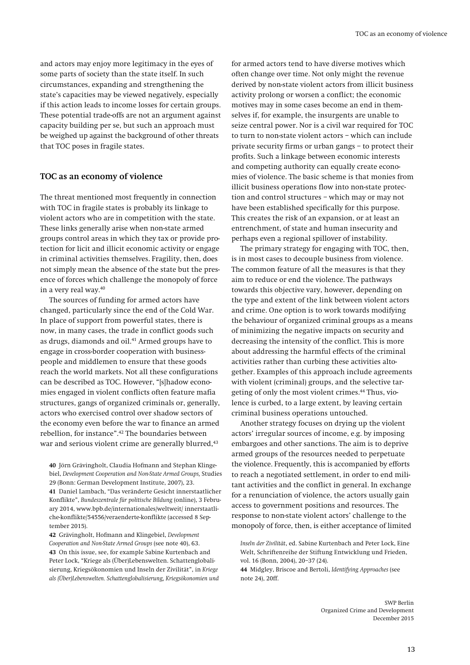**and actors may enjoy more legitimacy in the eyes of some parts of society than the state itself. In such circumstances, expanding and strengthening the state's capacities may be viewed negatively, especially if this action leads to income losses for certain groups. These potential trade-offs are not an argument against capacity building per se, but such an approach must be weighed up against the background of other threats that TOC poses in fragile states.** 

#### **TOC as an economy of violence**

**The threat mentioned most frequently in connection with TOC in fragile states is probably its linkage to violent actors who are in competition with the state. These links generally arise when non-state armed groups control areas in which they tax or provide protection for licit and illicit economic activity or engage in criminal activities themselves. Fragility, then, does not simply mean the absence of the state but the presence of forces which challenge the monopoly of force in a very real way.40** 

**The sources of funding for armed actors have changed, particularly since the end of the Cold War. In place of support from powerful states, there is now, in many cases, the trade in conflict goods such as drugs, diamonds and oil.41 Armed groups have to engage in cross-border cooperation with businesspeople and middlemen to ensure that these goods reach the world markets. Not all these configurations can be described as TOC. However, "[s]hadow economies engaged in violent conflicts often feature mafia structures, gangs of organized criminals or, generally, actors who exercised control over shadow sectors of the economy even before the war to finance an armed rebellion, for instance".42 The boundaries between war and serious violent crime are generally blurred,43**

**40 Jörn Grävingholt, Claudia Hofmann and Stephan Klingebiel,** *Development Cooperation and Non-State Armed Groups,* **Studies 29 (Bonn: German Development Institute, 2007), 23. 41 Daniel Lambach, "Das veränderte Gesicht innerstaatlicher Konflikte",** *Bundeszentrale für politische Bildung* **(online), 3 Febru-**

**ary 2014, www.bpb.de/internationales/weltweit/ innerstaatliche-konflikte/54556/veraenderte-konflikte (accessed 8 September 2015).** 

**42 Grävingholt, Hofmann and Klingebiel,** *Development Cooperation and Non-State Armed Groups* **(see note 40), 63. 43 On this issue, see, for example Sabine Kurtenbach and Peter Lock, "Kriege als (Über)Lebenswelten. Schattenglobalisierung, Kriegsökonomien und Inseln der Zivilität", in** *Kriege als (Über)Lebenswelten. Schattenglobalisierung, Kriegsökonomien und* 

**for armed actors tend to have diverse motives which often change over time. Not only might the revenue derived by non-state violent actors from illicit business activity prolong or worsen a conflict; the economic motives may in some cases become an end in themselves if, for example, the insurgents are unable to seize central power. Nor is a civil war required for TOC to turn to non-state violent actors – which can include private security firms or urban gangs – to protect their profits. Such a linkage between economic interests and competing authority can equally create economies of violence. The basic scheme is that monies from illicit business operations flow into non-state protection and control structures – which may or may not have been established specifically for this purpose. This creates the risk of an expansion, or at least an entrenchment, of state and human insecurity and perhaps even a regional spillover of instability.** 

**The primary strategy for engaging with TOC, then, is in most cases to decouple business from violence. The common feature of all the measures is that they aim to reduce or end the violence. The pathways towards this objective vary, however, depending on the type and extent of the link between violent actors and crime. One option is to work towards modifying the behaviour of organized criminal groups as a means of minimizing the negative impacts on security and decreasing the intensity of the conflict. This is more about addressing the harmful effects of the criminal activities rather than curbing these activities altogether. Examples of this approach include agreements with violent (criminal) groups, and the selective targeting of only the most violent crimes.44 Thus, violence is curbed, to a large extent, by leaving certain criminal business operations untouched.** 

**Another strategy focuses on drying up the violent actors' irregular sources of income, e.g. by imposing embargoes and other sanctions. The aim is to deprive armed groups of the resources needed to perpetuate the violence. Frequently, this is accompanied by efforts to reach a negotiated settlement, in order to end militant activities and the conflict in general. In exchange for a renunciation of violence, the actors usually gain access to government positions and resources. The response to non-state violent actors' challenge to the monopoly of force, then, is either acceptance of limited** 

*Inseln der Zivilität***, ed. Sabine Kurtenbach and Peter Lock, Eine Welt, Schriftenreihe der Stiftung Entwicklung und Frieden, vol. 16 (Bonn, 2004), 20–37 (24).** 

**<sup>44</sup> Midgley, Briscoe and Bertoli,** *Identifying Approaches* **(see note 24), 20ff.**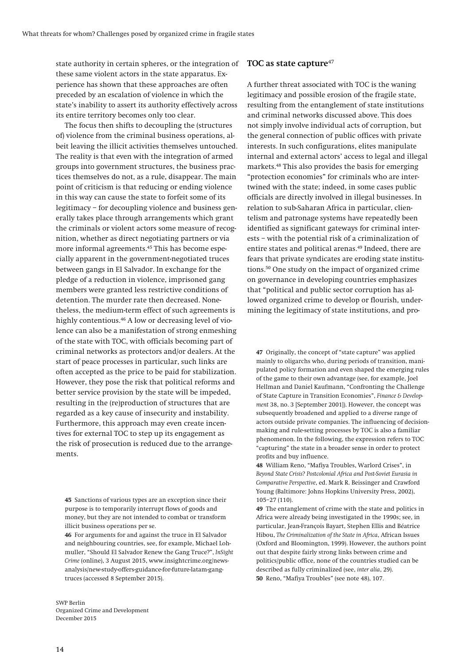**state authority in certain spheres, or the integration of these same violent actors in the state apparatus. Experience has shown that these approaches are often preceded by an escalation of violence in which the state's inability to assert its authority effectively across its entire territory becomes only too clear.** 

**The focus then shifts to decoupling the (structures of) violence from the criminal business operations, albeit leaving the illicit activities themselves untouched. The reality is that even with the integration of armed groups into government structures, the business practices themselves do not, as a rule, disappear. The main point of criticism is that reducing or ending violence in this way can cause the state to forfeit some of its legitimacy – for decoupling violence and business generally takes place through arrangements which grant the criminals or violent actors some measure of recognition, whether as direct negotiating partners or via more informal agreements.45 This has become especially apparent in the government-negotiated truces between gangs in El Salvador. In exchange for the pledge of a reduction in violence, imprisoned gang members were granted less restrictive conditions of detention. The murder rate then decreased. Nonetheless, the medium-term effect of such agreements is highly contentious.46 A low or decreasing level of violence can also be a manifestation of strong enmeshing of the state with TOC, with officials becoming part of criminal networks as protectors and/or dealers. At the start of peace processes in particular, such links are often accepted as the price to be paid for stabilization. However, they pose the risk that political reforms and better service provision by the state will be impeded, resulting in the (re)production of structures that are regarded as a key cause of insecurity and instability. Furthermore, this approach may even create incentives for external TOC to step up its engagement as the risk of prosecution is reduced due to the arrangements.** 

#### **SWP Berlin Organized Crime and Development December 2015**

#### **TOC as state capture<sup>47</sup>**

**A further threat associated with TOC is the waning legitimacy and possible erosion of the fragile state, resulting from the entanglement of state institutions and criminal networks discussed above. This does not simply involve individual acts of corruption, but the general connection of public offices with private interests. In such configurations, elites manipulate internal and external actors' access to legal and illegal markets.48 This also provides the basis for emerging "protection economies" for criminals who are intertwined with the state; indeed, in some cases public officials are directly involved in illegal businesses. In relation to sub-Saharan Africa in particular, clientelism and patronage systems have repeatedly been identified as significant gateways for criminal interests – with the potential risk of a criminalization of entire states and political arenas.49 Indeed, there are fears that private syndicates are eroding state institutions.50 One study on the impact of organized crime on governance in developing countries emphasizes that "political and public sector corruption has allowed organized crime to develop or flourish, undermining the legitimacy of state institutions, and pro-**

**47 Originally, the concept of "state capture" was applied mainly to oligarchs who, during periods of transition, manipulated policy formation and even shaped the emerging rules of the game to their own advantage (see, for example, Joel Hellman and Daniel Kaufmann, "Confronting the Challenge of State Capture in Transition Economies",** *Finance & Development* **38, no. 3 [September 2001]). However, the concept was subsequently broadened and applied to a diverse range of actors outside private companies. The influencing of decisionmaking and rule-setting processes by TOC is also a familiar phenomenon. In the following, the expression refers to TOC "capturing" the state in a broader sense in order to protect profits and buy influence.** 

**48 William Reno, "Mafiya Troubles, Warlord Crises", in**  *Beyond State Crisis? Postcolonial Africa and Post-Soviet Eurasia in Comparative Perspective***, ed. Mark R. Beissinger and Crawford Young (Baltimore: Johns Hopkins University Press, 2002), 105–27 (110).** 

**<sup>45</sup> Sanctions of various types are an exception since their purpose is to temporarily interrupt flows of goods and money, but they are not intended to combat or transform illicit business operations per se.** 

**<sup>46</sup> For arguments for and against the truce in El Salvador and neighbouring countries, see, for example, Michael Lohmuller, "Should El Salvador Renew the Gang Truce?",** *InSight Crime* **(online), 3 August 2015, www.insightcrime.org/newsanalysis/new-study-offers-guidance-for-future-latam-gangtruces (accessed 8 September 2015).** 

**<sup>49</sup> The entanglement of crime with the state and politics in Africa were already being investigated in the 1990s; see, in particular, Jean-François Bayart, Stephen Ellis and Béatrice Hibou,** *The Criminalization of the State in Africa***, African Issues (Oxford and Bloomington, 1999). However, the authors point out that despite fairly strong links between crime and politics/public office, none of the countries studied can be described as fully criminalized (see,** *inter alia***, 29). 50 Reno, "Mafiya Troubles" (see note 48), 107.**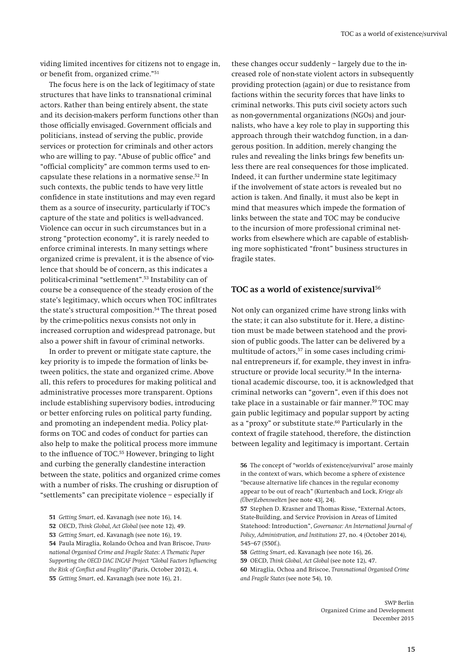**viding limited incentives for citizens not to engage in, or benefit from, organized crime."51**

**The focus here is on the lack of legitimacy of state structures that have links to transnational criminal actors. Rather than being entirely absent, the state and its decision-makers perform functions other than those officially envisaged. Government officials and politicians, instead of serving the public, provide services or protection for criminals and other actors who are willing to pay. "Abuse of public office" and "official complicity" are common terms used to encapsulate these relations in a normative sense.52 In such contexts, the public tends to have very little confidence in state institutions and may even regard them as a source of insecurity, particularly if TOC's capture of the state and politics is well-advanced. Violence can occur in such circumstances but in a strong "protection economy", it is rarely needed to enforce criminal interests. In many settings where organized crime is prevalent, it is the absence of violence that should be of concern, as this indicates a political-criminal "settlement".53 Instability can of course be a consequence of the steady erosion of the state's legitimacy, which occurs when TOC infiltrates the state's structural composition.54 The threat posed by the crime-politics nexus consists not only in increased corruption and widespread patronage, but also a power shift in favour of criminal networks.** 

**In order to prevent or mitigate state capture, the key priority is to impede the formation of links between politics, the state and organized crime. Above all, this refers to procedures for making political and administrative processes more transparent. Options include establishing supervisory bodies, introducing or better enforcing rules on political party funding, and promoting an independent media. Policy platforms on TOC and codes of conduct for parties can also help to make the political process more immune to the influence of TOC.55 However, bringing to light and curbing the generally clandestine interaction between the state, politics and organized crime comes with a number of risks. The crushing or disruption of "settlements" can precipitate violence – especially if** 

**54 Paula Miraglia, Rolando Ochoa and Ivan Briscoe,** *Transnational Organised Crime and Fragile States: A Thematic Paper Supporting the OECD DAC INCAF Project "Global Factors Influencing the Risk of Conflict and Fragility"* **(Paris, October 2012), 4. 55** *Getting Smart***, ed. Kavanagh (see note 16), 21.** 

**these changes occur suddenly – largely due to the increased role of non-state violent actors in subsequently providing protection (again) or due to resistance from factions within the security forces that have links to criminal networks. This puts civil society actors such as non-governmental organizations (NGOs) and journalists, who have a key role to play in supporting this approach through their watchdog function, in a dangerous position. In addition, merely changing the rules and revealing the links brings few benefits unless there are real consequences for those implicated. Indeed, it can further undermine state legitimacy if the involvement of state actors is revealed but no action is taken. And finally, it must also be kept in mind that measures which impede the formation of links between the state and TOC may be conducive to the incursion of more professional criminal networks from elsewhere which are capable of establishing more sophisticated "front" business structures in fragile states.** 

### **TOC as a world of existence/survival<sup>56</sup>**

**Not only can organized crime have strong links with the state; it can also substitute for it. Here, a distinction must be made between statehood and the provision of public goods. The latter can be delivered by a**  multitude of actors,<sup>57</sup> in some cases including crimi**nal entrepreneurs if, for example, they invest in infrastructure or provide local security.58 In the international academic discourse, too, it is acknowledged that criminal networks can "govern", even if this does not take place in a sustainable or fair manner.59 TOC may gain public legitimacy and popular support by acting as a "proxy" or substitute state.60 Particularly in the context of fragile statehood, therefore, the distinction between legality and legitimacy is important. Certain**

**<sup>51</sup>** *Getting Smart***, ed. Kavanagh (see note 16), 14.** 

**<sup>52</sup> OECD,** *Think Global, Act Global* **(see note 12), 49.** 

**<sup>53</sup>** *Getting Smart***, ed. Kavanagh (see note 16), 19.** 

**<sup>56</sup> The concept of "worlds of existence/survival" arose mainly in the context of wars, which become a sphere of existence "because alternative life chances in the regular economy appear to be out of reach" (Kurtenbach and Lock,** *Kriege als (Über)Lebenswelten* **[see note 43], 24).** 

**<sup>57</sup> Stephen D. Krasner and Thomas Risse, "External Actors, State-Building, and Service Provision in Areas of Limited Statehood: Introduction",** *Governance: An International Journal of Policy, Administration, and Institutions* **27, no. 4 (October 2014), 545–67 (550f.).** 

**<sup>58</sup>** *Getting Smart***, ed. Kavanagh (see note 16), 26. 59 OECD,** *Think Global, Act Global* **(see note 12), 47. 60 Miraglia, Ochoa and Briscoe,** *Transnational Organised Crime and Fragile States* **(see note 54), 10.**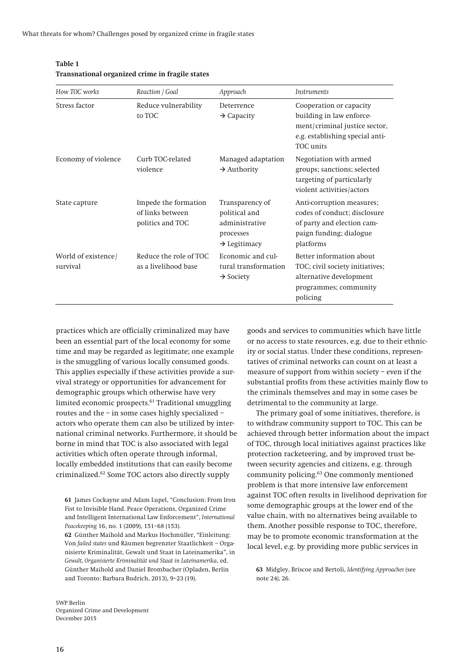| How TOC works                   | Reaction / Goal                                              | Approach                                                                                    | <i>Instruments</i>                                                                                                                   |
|---------------------------------|--------------------------------------------------------------|---------------------------------------------------------------------------------------------|--------------------------------------------------------------------------------------------------------------------------------------|
| Stress factor                   | Reduce vulnerability<br>to TOC                               | Deterrence<br>$\rightarrow$ Capacity                                                        | Cooperation or capacity<br>building in law enforce-<br>ment/criminal justice sector,<br>e.g. establishing special anti-<br>TOC units |
| Economy of violence             | Curb TOC-related<br>violence                                 | Managed adaptation<br>$\rightarrow$ Authority                                               | Negotiation with armed<br>groups; sanctions; selected<br>targeting of particularly<br>violent activities/actors                      |
| State capture                   | Impede the formation<br>of links between<br>politics and TOC | Transparency of<br>political and<br>administrative<br>processes<br>$\rightarrow$ Legitimacy | Anti-corruption measures;<br>codes of conduct; disclosure<br>of party and election cam-<br>paign funding; dialogue<br>platforms      |
| World of existence/<br>survival | Reduce the role of TOC<br>as a livelihood base               | Economic and cul-<br>tural transformation<br>$\rightarrow$ Society                          | Better information about<br>TOC; civil society initiatives;<br>alternative development<br>programmes; community<br>policing          |

#### **Table 1 Transnational organized crime in fragile states**

**practices which are officially criminalized may have been an essential part of the local economy for some time and may be regarded as legitimate; one example is the smuggling of various locally consumed goods. This applies especially if these activities provide a survival strategy or opportunities for advancement for demographic groups which otherwise have very limited economic prospects.61 Traditional smuggling routes and the – in some cases highly specialized – actors who operate them can also be utilized by international criminal networks. Furthermore, it should be borne in mind that TOC is also associated with legal activities which often operate through informal, locally embedded institutions that can easily become criminalized.62 Some TOC actors also directly supply** 

**goods and services to communities which have little or no access to state resources, e.g. due to their ethnicity or social status. Under these conditions, representatives of criminal networks can count on at least a measure of support from within society – even if the substantial profits from these activities mainly flow to the criminals themselves and may in some cases be detrimental to the community at large.** 

**The primary goal of some initiatives, therefore, is to withdraw community support to TOC. This can be achieved through better information about the impact of TOC, through local initiatives against practices like protection racketeering, and by improved trust between security agencies and citizens, e.g. through community policing.63 One commonly mentioned problem is that more intensive law enforcement against TOC often results in livelihood deprivation for some demographic groups at the lower end of the value chain, with no alternatives being available to them. Another possible response to TOC, therefore, may be to promote economic transformation at the local level, e.g. by providing more public services in** 

**63 Midgley, Briscoe and Bertoli,** *Identifying Approaches* **(see note 24***)***, 26.** 

**<sup>61</sup> James Cockayne and Adam Lupel, "Conclusion: From Iron Fist to Invisible Hand. Peace Operations, Organized Crime and Intelligent International Law Enforcement",** *International Peacekeeping* **16, no. 1 (2009), 151–68 (153).** 

**<sup>62</sup> Günther Maihold and Markus Hochmüller, "Einleitung: Von** *failed states* **und Räumen begrenzter Staatlichkeit – Organisierte Kriminalität, Gewalt und Staat in Lateinamerika", in**  *Gewalt, Organisierte Kriminalität und Staat in Lateinamerika***, ed. Günther Maihold and Daniel Brombacher (Opladen, Berlin and Toronto: Barbara Budrich, 2013), 9–23 (19).**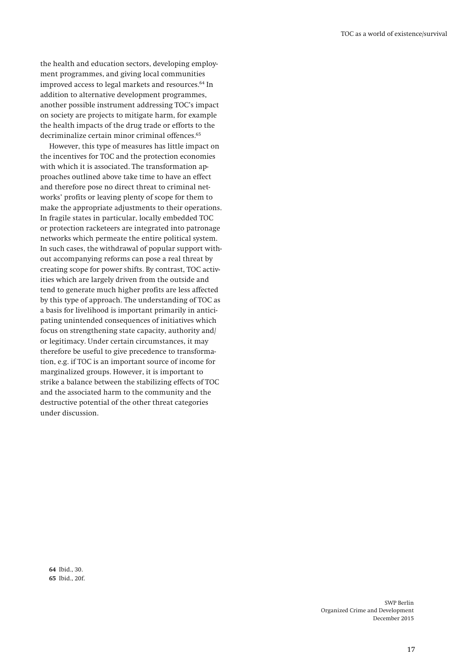**the health and education sectors, developing employment programmes, and giving local communities improved access to legal markets and resources.64 In addition to alternative development programmes, another possible instrument addressing TOC's impact on society are projects to mitigate harm, for example the health impacts of the drug trade or efforts to the decriminalize certain minor criminal offences.65**

**However, this type of measures has little impact on the incentives for TOC and the protection economies with which it is associated. The transformation approaches outlined above take time to have an effect and therefore pose no direct threat to criminal networks' profits or leaving plenty of scope for them to make the appropriate adjustments to their operations. In fragile states in particular, locally embedded TOC or protection racketeers are integrated into patronage networks which permeate the entire political system. In such cases, the withdrawal of popular support without accompanying reforms can pose a real threat by creating scope for power shifts. By contrast, TOC activities which are largely driven from the outside and tend to generate much higher profits are less affected by this type of approach. The understanding of TOC as a basis for livelihood is important primarily in anticipating unintended consequences of initiatives which focus on strengthening state capacity, authority and/ or legitimacy. Under certain circumstances, it may therefore be useful to give precedence to transformation, e.g. if TOC is an important source of income for marginalized groups. However, it is important to strike a balance between the stabilizing effects of TOC and the associated harm to the community and the destructive potential of the other threat categories under discussion.** 

**64 Ibid., 30. 65 Ibid., 20f.**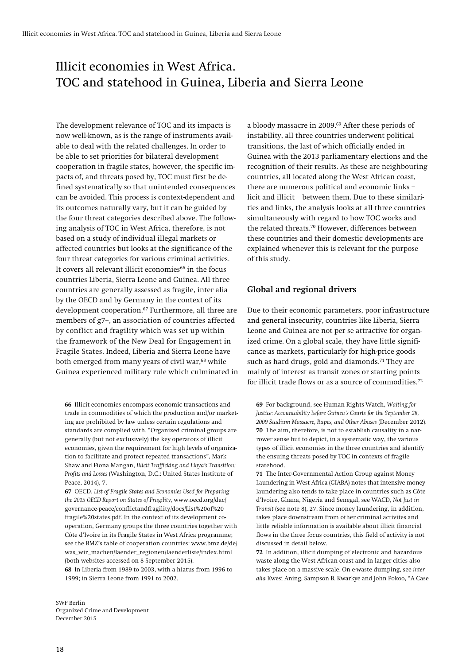# Illicit economies in West Africa. TOC and statehood in Guinea, Liberia and Sierra Leone

**The development relevance of TOC and its impacts is now well-known, as is the range of instruments available to deal with the related challenges. In order to be able to set priorities for bilateral development cooperation in fragile states, however, the specific impacts of, and threats posed by, TOC must first be defined systematically so that unintended consequences can be avoided. This process is context-dependent and its outcomes naturally vary, but it can be guided by the four threat categories described above. The following analysis of TOC in West Africa, therefore, is not based on a study of individual illegal markets or affected countries but looks at the significance of the four threat categories for various criminal activities.**  It covers all relevant illicit economies<sup>66</sup> in the focus **countries Liberia, Sierra Leone and Guinea. All three countries are generally assessed as fragile, inter alia by the OECD and by Germany in the context of its development cooperation.67 Furthermore, all three are members of g7+, an association of countries affected by conflict and fragility which was set up within the framework of the New Deal for Engagement in Fragile States. Indeed, Liberia and Sierra Leone have both emerged from many years of civil war,68 while Guinea experienced military rule which culminated in** 

**66 Illicit economies encompass economic transactions and trade in commodities of which the production and/or marketing are prohibited by law unless certain regulations and standards are complied with. "Organized criminal groups are generally (but not exclusively) the key operators of illicit economies, given the requirement for high levels of organization to facilitate and protect repeated transactions", Mark Shaw and Fiona Mangan,** *Illicit Trafficking and Libya's Transition: Profits and Losses* **(Washington, D.C.: United States Institute of Peace, 2014), 7.** 

**67 OECD,** *List of Fragile States and Economies Used for Preparing the 2015 OECD Report on States of Fragility,* **www.oecd.org/dac/ governance-peace/conflictandfragility/docs/List%20of%20 fragile%20states.pdf. In the context of its development cooperation, Germany groups the three countries together with Côte d'Ivoire in its Fragile States in West Africa programme; see the BMZ's table of cooperation countries: www.bmz.de/de/ was\_wir\_machen/laender\_regionen/laenderliste/index.html (both websites accessed on 8 September 2015).** 

**68 In Liberia from 1989 to 2003, with a hiatus from 1996 to 1999; in Sierra Leone from 1991 to 2002.** 

**a bloody massacre in 2009.69 After these periods of instability, all three countries underwent political transitions, the last of which officially ended in Guinea with the 2013 parliamentary elections and the recognition of their results. As these are neighbouring countries, all located along the West African coast, there are numerous political and economic links – licit and illicit – between them. Due to these similarities and links, the analysis looks at all three countries simultaneously with regard to how TOC works and the related threats.70 However, differences between these countries and their domestic developments are explained whenever this is relevant for the purpose of this study.** 

#### **Global and regional drivers**

**Due to their economic parameters, poor infrastructure and general insecurity, countries like Liberia, Sierra Leone and Guinea are not per se attractive for organized crime. On a global scale, they have little significance as markets, particularly for high-price goods such as hard drugs, gold and diamonds.71 They are mainly of interest as transit zones or starting points for illicit trade flows or as a source of commodities.72**

**69 For background, see Human Rights Watch,** *Waiting for Justice: Accountability before Guinea's Courts for the September 28, 2009 Stadium Massacre, Rapes, and Other Abuses* **(December 2012). 70 The aim, therefore, is not to establish causality in a narrower sense but to depict, in a systematic way, the various types of illicit economies in the three countries and identify the ensuing threats posed by TOC in contexts of fragile statehood.** 

**71 The Inter-Governmental Action Group against Money Laundering in West Africa (GIABA) notes that intensive money laundering also tends to take place in countries such as Côte d'Ivoire, Ghana, Nigeria and Senegal, see WACD,** *Not Just in Transit* **(see note 8), 27. Since money laundering, in addition, takes place downstream from other criminal activites and little reliable information is available about illicit financial flows in the three focus countries, this field of activity is not discussed in detail below.** 

**72 In addition, illicit dumping of electronic and hazardous waste along the West African coast and in larger cities also takes place on a massive scale. On e-waste dumping, see** *inter alia* **Kwesi Aning, Sampson B. Kwarkye and John Pokoo, "A Case**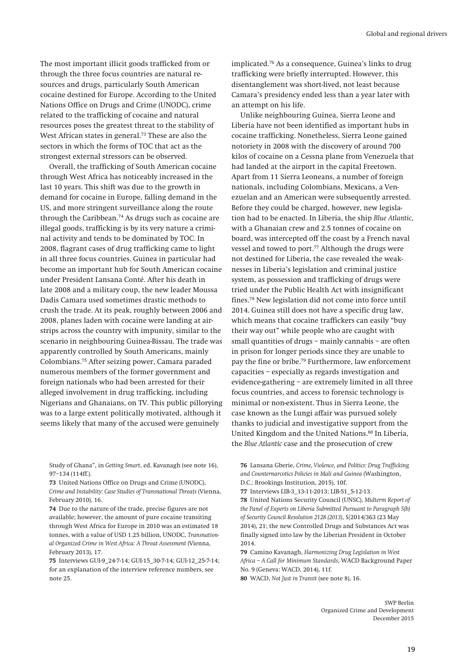**The most important illicit goods trafficked from or through the three focus countries are natural resources and drugs, particularly South American cocaine destined for Europe. According to the United Nations Office on Drugs and Crime (UNODC), crime related to the trafficking of cocaine and natural resources poses the greatest threat to the stability of West African states in general.73 These are also the sectors in which the forms of TOC that act as the strongest external stressors can be observed.** 

**Overall, the trafficking of South American cocaine through West Africa has noticeably increased in the last 10 years. This shift was due to the growth in demand for cocaine in Europe, falling demand in the US, and more stringent surveillance along the route through the Caribbean.74 As drugs such as cocaine are illegal goods, trafficking is by its very nature a criminal activity and tends to be dominated by TOC. In 2008, flagrant cases of drug trafficking came to light in all three focus countries. Guinea in particular had become an important hub for South American cocaine under President Lansana Conté. After his death in late 2008 and a military coup, the new leader Moussa Dadis Camara used sometimes drastic methods to crush the trade. At its peak, roughly between 2006 and 2008, planes laden with cocaine were landing at airstrips across the country with impunity, similar to the scenario in neighbouring Guinea-Bissau. The trade was apparently controlled by South Americans, mainly Colombians.75 After seizing power, Camara paraded numerous members of the former government and foreign nationals who had been arrested for their alleged involvement in drug trafficking, including Nigerians and Ghanaians, on TV. This public pillorying was to a large extent politically motivated, although it seems likely that many of the accused were genuinely** 

**Study of Ghana", in** *Getting Smart***, ed. Kavanagh (see note 16), 97–134 (114ff.).** 

**73 United Nations Office on Drugs and Crime (UNODC),**  *Crime and Instability: Case Studies of Transnational Threats* **(Vienna, February 2010), 16.** 

**74 Due to the nature of the trade, precise figures are not available; however, the amount of pure cocaine transiting through West Africa for Europe in 2010 was an estimated 18 tonnes, with a value of USD 1.25 billion, UNODC,** *Transnational Organized Crime in West Africa: A Threat Assessment* **(Vienna, February 2013), 17.** 

**75 Interviews GUI-9\_24-7-14; GUI-15\_30-7-14; GUI-12\_25-7-14; for an explanation of the interview reference numbers, see note 25.** 

**implicated.76 As a consequence, Guinea's links to drug trafficking were briefly interrupted. However, this disentanglement was short-lived, not least because Camara's presidency ended less than a year later with an attempt on his life.** 

**Unlike neighbouring Guinea, Sierra Leone and Liberia have not been identified as important hubs in cocaine trafficking. Nonetheless, Sierra Leone gained notoriety in 2008 with the discovery of around 700 kilos of cocaine on a Cessna plane from Venezuela that had landed at the airport in the capital Freetown. Apart from 11 Sierra Leoneans, a number of foreign nationals, including Colombians, Mexicans, a Venezuelan and an American were subsequently arrested. Before they could be charged, however, new legislation had to be enacted. In Liberia, the ship** *Blue Atlantic***, with a Ghanaian crew and 2.5 tonnes of cocaine on board, was intercepted off the coast by a French naval vessel and towed to port.77 Although the drugs were not destined for Liberia, the case revealed the weaknesses in Liberia's legislation and criminal justice system, as possession and trafficking of drugs were tried under the Public Health Act with insignificant fines.78 New legislation did not come into force until 2014. Guinea still does not have a specific drug law, which means that cocaine traffickers can easily "buy their way out" while people who are caught with small quantities of drugs – mainly cannabis – are often in prison for longer periods since they are unable to pay the fine or bribe.79 Furthermore, law enforcement capacities – especially as regards investigation and evidence-gathering – are extremely limited in all three focus countries, and access to forensic technology is minimal or non-existent. Thus in Sierra Leone, the case known as the Lungi affair was pursued solely thanks to judicial and investigative support from the United Kingdom and the United Nations.80 In Liberia, the** *Blue Atlantic* **case and the prosecution of crew** 

**76 Lansana Gberie,** *Crime, Violence, and Politics: Drug Trafficking and Counternarcotics Policies in Mali and Guinea* **(Washington, D.C.: Brookings Institution, 2015), 10f. 77 Interviews LIB-3\_13-11-2013; LIB-51\_5-12-13.** 

**78 United Nations Security Council (UNSC),** *Midterm Report of the Panel of Experts on Liberia Submitted Pursuant to Paragraph 5(b) of Security Council Resolution 2128 (2013)***, S/2014/363 (23 May 2014), 21; the new Controlled Drugs and Substances Act was finally signed into law by the Liberian President in October 2014.** 

**79 Camino Kavanagh,** *Harmonizing Drug Legislation in West Africa – A Call for Minimum Standards***, WACD Background Paper No. 9 (Geneva: WACD, 2014), 11f.** 

**80 WACD,** *Not Just in Transit* **(see note 8), 16.**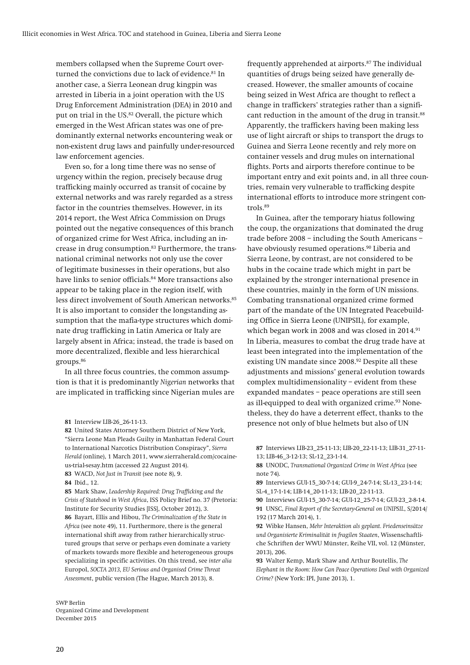**members collapsed when the Supreme Court overturned the convictions due to lack of evidence.81 In another case, a Sierra Leonean drug kingpin was arrested in Liberia in a joint operation with the US Drug Enforcement Administration (DEA) in 2010 and put on trial in the US.82 Overall, the picture which emerged in the West African states was one of predominantly external networks encountering weak or non-existent drug laws and painfully under-resourced law enforcement agencies.** 

**Even so, for a long time there was no sense of urgency within the region, precisely because drug trafficking mainly occurred as transit of cocaine by external networks and was rarely regarded as a stress factor in the countries themselves. However, in its 2014 report, the West Africa Commission on Drugs pointed out the negative consequences of this branch of organized crime for West Africa, including an increase in drug consumption.83 Furthermore, the transnational criminal networks not only use the cover of legitimate businesses in their operations, but also have links to senior officials.84 More transactions also appear to be taking place in the region itself, with less direct involvement of South American networks.85 It is also important to consider the longstanding assumption that the mafia-type structures which dominate drug trafficking in Latin America or Italy are largely absent in Africa; instead, the trade is based on more decentralized, flexible and less hierarchical groups.86**

**In all three focus countries, the common assumption is that it is predominantly** *Nigerian* **networks that are implicated in trafficking since Nigerian mules are** 

**85 Mark Shaw,** *Leadership Required: Drug Trafficking and the Crisis of Statehood in West Africa***, ISS Policy Brief no. 37 (Pretoria: Institute for Security Studies [ISS], October 2012), 3. 86 Bayart, Ellis and Hibou,** *The Criminalization of the State in Africa* **(see note 49), 11. Furthermore, there is the general international shift away from rather hierarchically structured groups that serve or perhaps even dominate a variety of markets towards more flexible and heterogeneous groups specializing in specific activities. On this trend, see** *inter alia* **Europol,** *SOCTA 2013, EU Serious and Organised Crime Threat Assessment***, public version (The Hague, March 2013), 8.** 

**SWP Berlin Organized Crime and Development December 2015** 

**frequently apprehended at airports.87 The individual quantities of drugs being seized have generally decreased. However, the smaller amounts of cocaine being seized in West Africa are thought to reflect a change in traffickers' strategies rather than a significant reduction in the amount of the drug in transit.88 Apparently, the traffickers having been making less use of light aircraft or ships to transport the drugs to Guinea and Sierra Leone recently and rely more on container vessels and drug mules on international flights. Ports and airports therefore continue to be important entry and exit points and, in all three countries, remain very vulnerable to trafficking despite international efforts to introduce more stringent controls.89**

**In Guinea, after the temporary hiatus following the coup, the organizations that dominated the drug trade before 2008 – including the South Americans – have obviously resumed operations.90 Liberia and Sierra Leone, by contrast, are not considered to be hubs in the cocaine trade which might in part be explained by the stronger international presence in these countries, mainly in the form of UN missions. Combating transnational organized crime formed part of the mandate of the UN Integrated Peacebuilding Office in Sierra Leone (UNIPSIL), for example, which began work in 2008 and was closed in 2014.91 In Liberia, measures to combat the drug trade have at least been integrated into the implementation of the existing UN mandate since 2008.92 Despite all these adjustments and missions' general evolution towards complex multidimensionality – evident from these expanded mandates – peace operations are still seen as ill-equipped to deal with organized crime.93 Nonetheless, they do have a deterrent effect, thanks to the presence not only of blue helmets but also of UN** 

**87 Interviews LIB-23\_25-11-13; LIB-20\_22-11-13; LIB-31\_27-11- 13; LIB-46\_3-12-13; SL-12\_23-1-14.** 

**88 UNODC,** *Transnational Organized Crime in West Africa* **(see note 74).** 

**89 Interviews GUI-15\_30-7-14; GUI-9\_24-7-14; SL-13\_23-1-14; SL-4\_17-1-14; LIB-14\_20-11-13; LIB-20\_22-11-13.** 

**90 Interviews GUI-15\_30-7-14; GUI-12\_25-7-14; GUI-23\_2-8-14. 91 UNSC,** *Final Report of the Secretary-General on UNIPSIL***, S/2014/ 192 (17 March 2014), 1.** 

**92 Wibke Hansen,** *Mehr Interaktion als geplant. Friedenseinsätze und Organisierte Kriminalität in fragilen Staaten***, Wissenschaftliche Schriften der WWU Münster, Reihe VII, vol. 12 (Münster, 2013), 206.** 

**93 Walter Kemp, Mark Shaw and Arthur Boutellis,** *The Elephant in the Room: How Can Peace Operations Deal with Organized Crime?* **(New York: IPI, June 2013), 1.** 

**<sup>81</sup> Interview LIB-26\_26-11-13.** 

**<sup>82</sup> United States Attorney Southern District of New York, "Sierra Leone Man Pleads Guilty in Manhattan Federal Court to International Narcotics Distribution Conspiracy",** *Sierra Herald* **(online), 1 March 2011, www.sierraherald.com/cocaineus-trial-sesay.htm (accessed 22 August 2014).** 

**<sup>83</sup> WACD,** *Not Just in Transit* **(see note 8), 9.** 

**<sup>84</sup> Ibid., 12.**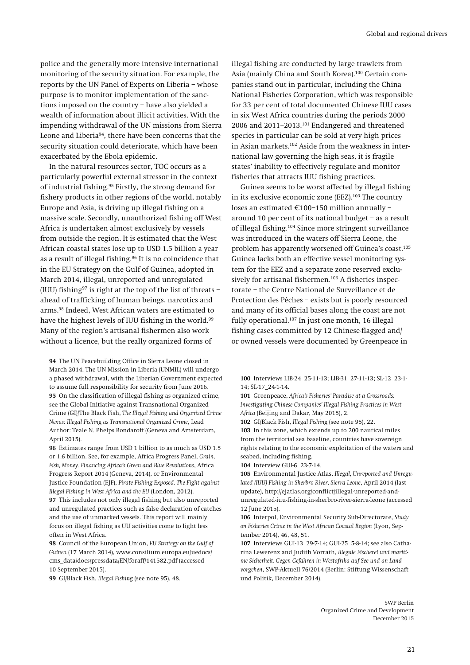**police and the generally more intensive international monitoring of the security situation. For example, the reports by the UN Panel of Experts on Liberia – whose purpose is to monitor implementation of the sanctions imposed on the country – have also yielded a wealth of information about illicit activities. With the impending withdrawal of the UN missions from Sierra Leone and Liberia94, there have been concerns that the security situation could deteriorate, which have been exacerbated by the Ebola epidemic.** 

**In the natural resources sector, TOC occurs as a particularly powerful external stressor in the context of industrial fishing.95 Firstly, the strong demand for fishery products in other regions of the world, notably Europe and Asia, is driving up illegal fishing on a massive scale. Secondly, unauthorized fishing off West Africa is undertaken almost exclusively by vessels from outside the region. It is estimated that the West African coastal states lose up to USD 1.5 billion a year as a result of illegal fishing.96 It is no coincidence that in the EU Strategy on the Gulf of Guinea, adopted in March 2014, illegal, unreported and unregulated (IUU) fishing97 is right at the top of the list of threats – ahead of trafficking of human beings, narcotics and arms.98 Indeed, West African waters are estimated to have the highest levels of IUU fishing in the world.99 Many of the region's artisanal fishermen also work without a licence, but the really organized forms of** 

**94 The UN Peacebuilding Office in Sierra Leone closed in March 2014. The UN Mission in Liberia (UNMIL) will undergo a phased withdrawal, with the Liberian Government expected to assume full responsibility for security from June 2016. 95 On the classification of illegal fishing as organized crime, see the Global Initiative against Transnational Organized Crime (GI)/The Black Fish,** *The Illegal Fishing and Organized Crime Nexus: Illegal Fishing as Transnational Organized Crime***, Lead Author: Teale N. Phelps Bondaroff (Geneva and Amsterdam, April 2015).** 

**96 Estimates range from USD 1 billion to as much as USD 1.5 or 1.6 billion. See, for example, Africa Progress Panel,** *Grain, Fish, Money. Financing Africa's Green and Blue Revolutions***, Africa Progress Report 2014 (Geneva, 2014), or Environmental Justice Foundation (EJF),** *Pirate Fishing Exposed. The Fight against Illegal Fishing in West Africa and the EU* **(London, 2012).** 

**97 This includes not only illegal fishing but also unreported and unregulated practices such as false declaration of catches and the use of unmarked vessels. This report will mainly focus on illegal fishing as UU activities come to light less often in West Africa.** 

**98 Council of the European Union,** *EU Strategy on the Gulf of Guinea* **(17 March 2014), www.consilium.europa.eu/uedocs/ cms\_data/docs/pressdata/EN/foraff/141582.pdf (accessed 10 September 2015).** 

**99 GI/Black Fish,** *Illegal Fishing* **(see note 95), 48.** 

**illegal fishing are conducted by large trawlers from Asia (mainly China and South Korea).100 Certain companies stand out in particular, including the China National Fisheries Corporation, which was responsible for 33 per cent of total documented Chinese IUU cases in six West Africa countries during the periods 2000– 2006 and 2011–2013.101 Endangered and threatened species in particular can be sold at very high prices in Asian markets.102 Aside from the weakness in international law governing the high seas, it is fragile states' inability to effectively regulate and monitor fisheries that attracts IUU fishing practices.** 

**Guinea seems to be worst affected by illegal fishing in its exclusive economic zone (EEZ).103 The country**  loses an estimated €100-150 million annually **around 10 per cent of its national budget – as a result of illegal fishing.104 Since more stringent surveillance was introduced in the waters off Sierra Leone, the problem has apparently worsened off Guinea's coast.105 Guinea lacks both an effective vessel monitoring system for the EEZ and a separate zone reserved exclusively for artisanal fishermen.106 A fisheries inspectorate – the Centre National de Surveillance et de Protection des Pêches – exists but is poorly resourced and many of its official bases along the coast are not fully operational.107 In just one month, 16 illegal fishing cases committed by 12 Chinese-flagged and/ or owned vessels were documented by Greenpeace in** 

**100 Interviews LIB-24\_25-11-13; LIB-31\_27-11-13; SL-12\_23-1- 14; SL-17\_24-1-14.** 

**101 Greenpeace,** *Africa's Fisheries' Paradise at a Crossroads: Investigating Chinese Companies' Illegal Fishing Practices in West Africa* **(Beijing and Dakar, May 2015), 2.** 

**102 GI/Black Fish,** *Illegal Fishing* **(see note 95), 22. 103 In this zone, which extends up to 200 nautical miles from the territorial sea baseline, countries have sovereign rights relating to the economic exploitation of the waters and seabed, including fishing.** 

**104 Interview GUI-6\_23-7-14.** 

**105 Environmental Justice Atlas,** *Illegal, Unreported and Unregulated (IUU) Fishing in Sherbro River, Sierra Leone***, April 2014 (last update), http://ejatlas.org/conflict/illegal-unreported-andunregulated-iuu-fishing-in-sherbro-river-sierra-leone (accessed 12 June 2015).** 

**106 Interpol, Environmental Security Sub-Directorate,** *Study on Fisheries Crime in the West African Coastal Region* **(Lyon, September 2014), 46, 48, 51.** 

**107 Interviews GUI-13\_29-7-14; GUI-25\_5-8-14; see also Catharina Lewerenz and Judith Vorrath,** *Illegale Fischerei und maritime Sicherheit. Gegen Gefahren in Westafrika auf See und an Land vorgehen***, SWP-Aktuell 76/2014 (Berlin: Stiftung Wissenschaft und Politik, December 2014).**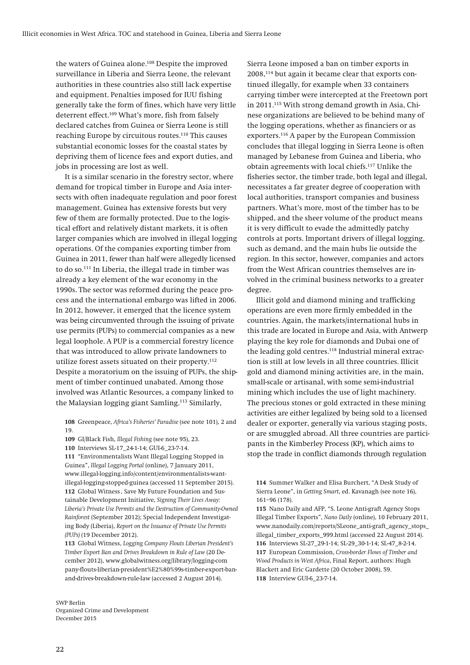**the waters of Guinea alone.108 Despite the improved surveillance in Liberia and Sierra Leone, the relevant authorities in these countries also still lack expertise and equipment. Penalties imposed for IUU fishing generally take the form of fines, which have very little deterrent effect.109 What's more, fish from falsely declared catches from Guinea or Sierra Leone is still reaching Europe by circuitous routes.110 This causes substantial economic losses for the coastal states by depriving them of licence fees and export duties, and jobs in processing are lost as well.** 

**It is a similar scenario in the forestry sector, where demand for tropical timber in Europe and Asia intersects with often inadequate regulation and poor forest management. Guinea has extensive forests but very few of them are formally protected. Due to the logistical effort and relatively distant markets, it is often larger companies which are involved in illegal logging operations. Of the companies exporting timber from Guinea in 2011, fewer than half were allegedly licensed to do so.111 In Liberia, the illegal trade in timber was already a key element of the war economy in the 1990s. The sector was reformed during the peace process and the international embargo was lifted in 2006. In 2012, however, it emerged that the licence system was being circumvented through the issuing of private use permits (PUPs) to commercial companies as a new legal loophole. A PUP is a commercial forestry licence that was introduced to allow private landowners to utilize forest assets situated on their property.112 Despite a moratorium on the issuing of PUPs, the shipment of timber continued unabated. Among those involved was Atlantic Resources, a company linked to the Malaysian logging giant Samling.113 Similarly,** 

**108 Greenpeace,** *Africa's Fisheries' Paradise* **(see note 101), 2 and 19.** 

**109 GI/Black Fish,** *Illegal Fishing* **(see note 95), 23.** 

**110 Interviews SL-17\_24-1-14; GUI-6\_23-7-14.** 

**111 "Environmentalists Want Illegal Logging Stopped in Guinea",** *Illegal Logging Portal* **(online), 7 January 2011, www.illegal-logging.info/content/environmentalists-wantillegal-logging-stopped-guinea (accessed 11 September 2015). 112 Global Witness , Save My Future Foundation and Sustainable Development Initiative,** *Signing Their Lives Away: Liberia's Private Use Permits and the Destruction of Community-Owned Rainforest* **(September 2012); Special Independent Investigating Body (Liberia),** *Report on the Issuance of Private Use Permits (PUPs)* **(19 December 2012).** 

**113 Global Witness,** *Logging Company Flouts Liberian President's Timber Export Ban and Drives Breakdown in Rule of Law* **(20 December 2012), www.globalwitness.org/library/logging-com pany-flouts-liberian-president%E2%80%99s-timber-export-banand-drives-breakdown-rule-law (accessed 2 August 2014).** 

**SWP Berlin Organized Crime and Development December 2015** 

**Sierra Leone imposed a ban on timber exports in 2008,114 but again it became clear that exports continued illegally, for example when 33 containers carrying timber were intercepted at the Freetown port in 2011.115 With strong demand growth in Asia, Chinese organizations are believed to be behind many of the logging operations, whether as financiers or as exporters.116 A paper by the European Commission concludes that illegal logging in Sierra Leone is often managed by Lebanese from Guinea and Liberia, who obtain agreements with local chiefs.117 Unlike the fisheries sector, the timber trade, both legal and illegal, necessitates a far greater degree of cooperation with local authorities, transport companies and business partners. What's more, most of the timber has to be shipped, and the sheer volume of the product means it is very difficult to evade the admittedly patchy controls at ports. Important drivers of illegal logging, such as demand, and the main hubs lie outside the region. In this sector, however, companies and actors from the West African countries themselves are involved in the criminal business networks to a greater degree.** 

**Illicit gold and diamond mining and trafficking operations are even more firmly embedded in the countries. Again, the markets/international hubs in this trade are located in Europe and Asia, with Antwerp playing the key role for diamonds and Dubai one of the leading gold centres.118 Industrial mineral extraction is still at low levels in all three countries. Illicit gold and diamond mining activities are, in the main, small-scale or artisanal, with some semi-industrial mining which includes the use of light machinery. The precious stones or gold extracted in these mining activities are either legalized by being sold to a licensed dealer or exporter, generally via various staging posts, or are smuggled abroad. All three countries are participants in the Kimberley Process (KP), which aims to stop the trade in conflict diamonds through regulation** 

**<sup>114</sup> Summer Walker and Elisa Burchert, "A Desk Study of Sierra Leone", in** *Getting Smart***, ed. Kavanagh (see note 16), 161–96 (178).** 

**<sup>115</sup> Nano Daily and AFP, "S. Leone Anti-graft Agency Stops Illegal Timber Exports",** *Nano Daily* **(online), 10 February 2011, www.nanodaily.com/reports/SLeone\_anti-graft\_agency\_stops\_ illegal\_timber\_exports\_999.html (accessed 22 August 2014). 116 Interviews SL-27\_29-1-14; SL-29\_30-1-14; SL-47\_8-2-14. 117 European Commission,** *Cross-border Flows of Timber and Wood Products in West Africa***, Final Report, authors: Hugh Blackett and Eric Gardette (20 October 2008), 59. 118 Interview GUI-6\_23-7-14.**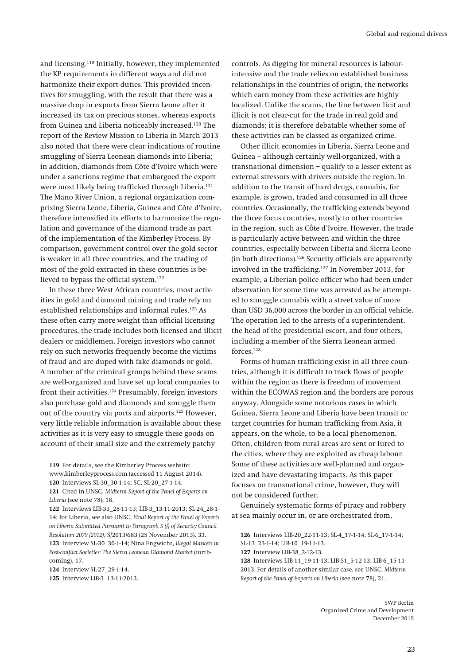**and licensing.119 Initially, however, they implemented the KP requirements in different ways and did not harmonize their export duties. This provided incentives for smuggling, with the result that there was a massive drop in exports from Sierra Leone after it increased its tax on precious stones, whereas exports from Guinea and Liberia noticeably increased.120 The report of the Review Mission to Liberia in March 2013 also noted that there were clear indications of routine smuggling of Sierra Leonean diamonds into Liberia; in addition, diamonds from Côte d'Ivoire which were under a sanctions regime that embargoed the export were most likely being trafficked through Liberia.121 The Mano River Union, a regional organization comprising Sierra Leone, Liberia, Guinea and Côte d'Ivoire, therefore intensified its efforts to harmonize the regulation and governance of the diamond trade as part of the implementation of the Kimberley Process. By comparison, government control over the gold sector is weaker in all three countries, and the trading of most of the gold extracted in these countries is believed to bypass the official system.122**

**In these three West African countries, most activities in gold and diamond mining and trade rely on established relationships and informal rules.123 As these often carry more weight than official licensing procedures, the trade includes both licensed and illicit dealers or middlemen. Foreign investors who cannot rely on such networks frequently become the victims of fraud and are duped with fake diamonds or gold. A number of the criminal groups behind these scams are well-organized and have set up local companies to front their activities.124 Presumably, foreign investors also purchase gold and diamonds and smuggle them out of the country via ports and airports.125 However, very little reliable information is available about these activities as it is very easy to smuggle these goods on account of their small size and the extremely patchy** 

**controls. As digging for mineral resources is labourintensive and the trade relies on established business relationships in the countries of origin, the networks which earn money from these activities are highly localized. Unlike the scams, the line between licit and illicit is not clear-cut for the trade in real gold and diamonds; it is therefore debatable whether some of these activities can be classed as organized crime.** 

**Other illicit economies in Liberia, Sierra Leone and Guinea – although certainly well-organized, with a transnational dimension – qualify to a lesser extent as external stressors with drivers outside the region. In addition to the transit of hard drugs, cannabis, for example, is grown, traded and consumed in all three countries. Occasionally, the trafficking extends beyond the three focus countries, mostly to other countries in the region, such as C**ô**te d'Ivoire. However, the trade is particularly active between and within the three countries, especially between Liberia and Sierra Leone (in both directions).126 Security officials are apparently involved in the trafficking.127 In November 2013, for example, a Liberian police officer who had been under observation for some time was arrested as he attempted to smuggle cannabis with a street value of more than USD 36,000 across the border in an official vehicle. The operation led to the arrests of a superintendent, the head of the presidential escort, and four others, including a member of the Sierra Leonean armed forces.128**

**Forms of human trafficking exist in all three countries, although it is difficult to track flows of people within the region as there is freedom of movement within the ECOWAS region and the borders are porous anyway. Alongside some notorious cases in which Guinea, Sierra Leone and Liberia have been transit or target countries for human trafficking from Asia, it appears, on the whole, to be a local phenomenon. Often, children from rural areas are sent or lured to the cities, where they are exploited as cheap labour. Some of these activities are well-planned and organized and have devastating impacts. As this paper focuses on transnational crime, however, they will not be considered further.** 

**Genuinely systematic forms of piracy and robbery at sea mainly occur in, or are orchestrated from,** 

**127 Interview LIB-38\_2-12-13.** 

**128 Interviews LIB-11\_19-11-13; LIB-51\_5-12-13; LIB-6\_15-11- 2013. For details of another similar case, see UNSC,** *Midterm Report of the Panel of Experts on Liberia* **(see note 78), 21.** 

**<sup>119</sup> For details, see the Kimberley Process website: www.kimberleyprocess.com (accessed 11 August 2014). 120 Interviews SL-30\_30-1-14; SC, SL-20\_27-1-14.** 

**<sup>121</sup> Cited in UNSC,** *Midterm Report of the Panel of Experts on Liberia* **(see note 78), 18.** 

**<sup>122</sup> Interviews LIB-33\_28-11-13; LIB-3\_13-11-2013; SL-24\_28-1- 14; for Liberia, see also UNSC,** *Final Report of the Panel of Experts on Liberia Submitted Pursuant to Paragraph 5 (f) of Security Council Resolution 2079 (2012)***, S/2013/683 (25 November 2013), 33. 123 Interview SL-30\_30-1-14; Nina Engwicht,** *Illegal Markets in Post-conflict Societies: The Sierra Leonean Diamond Market* **(forth-**

**coming), 17. 124 Interview SL-27\_29-1-14.** 

**<sup>125</sup> Interview LIB-3\_13-11-2013.** 

**<sup>126</sup> Interviews LIB-20\_22-11-13; SL-4\_17-1-14; SL-6\_17-1-14; SL-13\_23-1-14; LIB-10\_19-11-13.**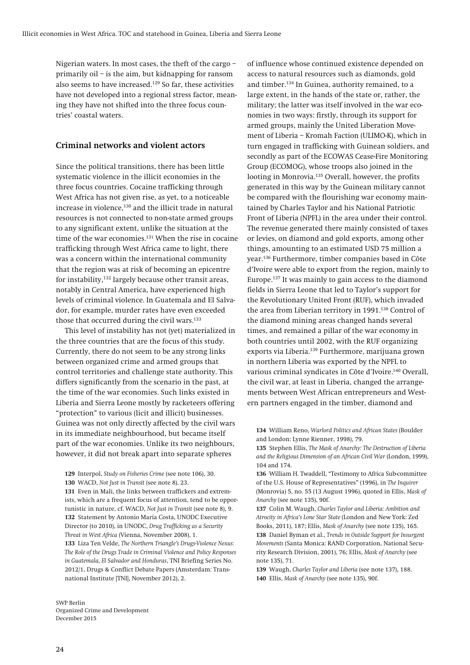**Nigerian waters. In most cases, the theft of the cargo – primarily oil – is the aim, but kidnapping for ransom also seems to have increased.129 So far, these activities have not developed into a regional stress factor, meaning they have not shifted into the three focus countries' coastal waters.** 

#### **Criminal networks and violent actors**

**Since the political transitions, there has been little systematic violence in the illicit economies in the three focus countries. Cocaine trafficking through West Africa has not given rise, as yet, to a noticeable increase in violence,130 and the illicit trade in natural resources is not connected to non-state armed groups to any significant extent, unlike the situation at the time of the war economies.131 When the rise in cocaine trafficking through West Africa came to light, there was a concern within the international community that the region was at risk of becoming an epicentre for instability,132 largely because other transit areas, notably in Central America, have experienced high levels of criminal violence. In Guatemala and El Salvador, for example, murder rates have even exceeded those that occurred during the civil wars.133**

**This level of instability has not (yet) materialized in the three countries that are the focus of this study. Currently, there do not seem to be any strong links between organized crime and armed groups that control territories and challenge state authority. This differs significantly from the scenario in the past, at the time of the war economies. Such links existed in Liberia and Sierra Leone mostly by racketeers offering "protection" to various (licit and illicit) businesses. Guinea was not only directly affected by the civil wars in its immediate neighbourhood, but became itself part of the war economies. Unlike its two neighbours, however, it did not break apart into separate spheres** 

**131 Even in Mali, the links between traffickers and extremists, which are a frequent focus of attention, tend to be opportunistic in nature, cf. WACD,** *Not Just in Transit* **(see note 8), 9. 132 Statement by Antonio Maria Costa, UNODC Executive Director (to 2010), in UNODC,** *Drug Trafficking as a Security Threat in West Africa* **(Vienna, November 2008), 1. 133 Liza Ten Velde,** *The Northern Triangle's Drugs-Violence Nexus: The Role of the Drugs Trade in Criminal Violence and Policy Responses in Guatemala, El Salvador and Honduras***, TNI Briefing Series No. 2012/1, Drugs & Conflict Debate Papers (Amsterdam: Transnational Institute [TNI], November 2012), 2.** 

**of influence whose continued existence depended on access to natural resources such as diamonds, gold and timber.134 In Guinea, authority remained, to a large extent, in the hands of the state or, rather, the military; the latter was itself involved in the war economies in two ways: firstly, through its support for armed groups, mainly the United Liberation Movement of Liberia – Kromah Faction (ULIMO-K), which in turn engaged in trafficking with Guinean soldiers, and secondly as part of the ECOWAS Cease-Fire Monitoring Group (ECOMOG), whose troops also joined in the looting in Monrovia.135 Overall, however, the profits generated in this way by the Guinean military cannot be compared with the flourishing war economy maintained by Charles Taylor and his National Patriotic Front of Liberia (NPFL) in the area under their control. The revenue generated there mainly consisted of taxes or levies, on diamond and gold exports, among other things, amounting to an estimated USD 75 million a year.136 Furthermore, timber companies based in Côte d'Ivoire were able to export from the region, mainly to Europe.137 It was mainly to gain access to the diamond fields in Sierra Leone that led to Taylor's support for the Revolutionary United Front (RUF), which invaded the area from Liberian territory in 1991.138 Control of the diamond mining areas changed hands several times, and remained a pillar of the war economy in both countries until 2002, with the RUF organizing exports via Liberia.139 Furthermore, marijuana grown in northern Liberia was exported by the NPFL to various criminal syndicates in Côte d'Ivoire.140 Overall, the civil war, at least in Liberia, changed the arrangements between West African entrepreneurs and Western partners engaged in the timber, diamond and** 

**134 William Reno,** *Warlord Politics and African States* **(Boulder and London: Lynne Rienner, 1998), 79.** 

**135 Stephen Ellis,** *The Mask of Anarchy: The Destruction of Liberia and the Religious Dimension of an African Civil War* **(London, 1999), 104 and 174.** 

**136 William H. Twaddell, "Testimony to Africa Sub-committee of the U.S. House of Representatives" (1996), in** *The Inquirer* **(Monrovia) 5, no. 55 (13 August 1996), quoted in Ellis,** *Mask of Anarchy* **(see note 135), 90f.** 

**137 Colin M. Waugh,** *Charles Taylor and Liberia: Ambition and Atrocity in Africa's Lone Star State* **(London and New York: Zed Books, 2011), 187; Ellis,** *Mask of Anarchy* **(see note 135), 165. 138 Daniel Byman et al.,** *Trends in Outside Support for Insurgent Movements* **(Santa Monica: RAND Corporation, National Security Research Division, 2001), 76; Ellis,** *Mask of Anarchy* **(see note 135), 71.** 

**139 Waugh,** *Charles Taylor and Liberia* **(see note 137), 188. 140 Ellis,** *Mask of Anarchy* **(see note 135), 90f.** 

**<sup>129</sup> Interpol,** *Study on Fisheries Crime* **(see note 106), 30.** 

**<sup>130</sup> WACD,** *Not Just in Transit* **(see note 8), 23.**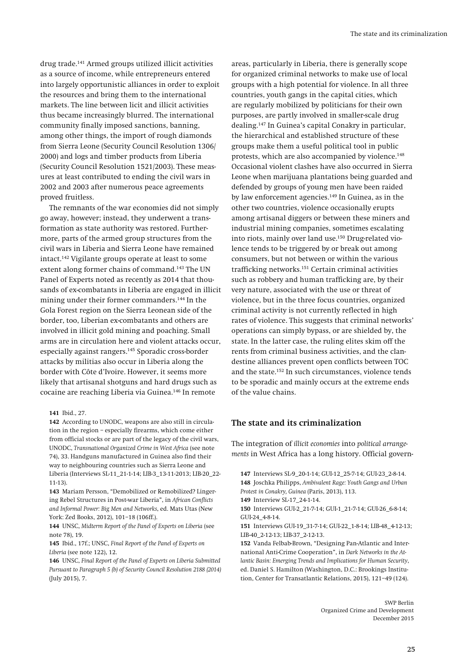**drug trade.141 Armed groups utilized illicit activities as a source of income, while entrepreneurs entered into largely opportunistic alliances in order to exploit the resources and bring them to the international markets. The line between licit and illicit activities thus became increasingly blurred. The international community finally imposed sanctions, banning, among other things, the import of rough diamonds from Sierra Leone (Security Council Resolution 1306/ 2000) and logs and timber products from Liberia (Security Council Resolution 1521/2003). These measures at least contributed to ending the civil wars in 2002 and 2003 after numerous peace agreements proved fruitless.** 

**The remnants of the war economies did not simply go away, however; instead, they underwent a transformation as state authority was restored. Furthermore, parts of the armed group structures from the civil wars in Liberia and Sierra Leone have remained intact.142 Vigilante groups operate at least to some extent along former chains of command.143 The UN Panel of Experts noted as recently as 2014 that thousands of ex-combatants in Liberia are engaged in illicit mining under their former commanders.144 In the Gola Forest region on the Sierra Leonean side of the border, too, Liberian ex-combatants and others are involved in illicit gold mining and poaching. Small arms are in circulation here and violent attacks occur, especially against rangers.145 Sporadic cross-border attacks by militias also occur in Liberia along the border with Côte d'Ivoire. However, it seems more likely that artisanal shotguns and hard drugs such as cocaine are reaching Liberia via Guinea.146 In remote** 

#### **141 Ibid., 27.**

**142 According to UNODC, weapons are also still in circulation in the region – especially firearms, which come either from official stocks or are part of the legacy of the civil wars, UNODC,** *Transnational Organized Crime in West Africa* **(see note 74), 33. Handguns manufactured in Guinea also find their way to neighbouring countries such as Sierra Leone and Liberia (Interviews SL-11\_21-1-14; LIB-3\_13-11-2013; LIB-20\_22- 11-13).** 

**143 Mariam Persson, "Demobilized or Remobilized? Lingering Rebel Structures in Post-war Liberia", in** *African Conflicts and Informal Power: Big Men and Networks***, ed. Mats Utas (New York: Zed Books, 2012), 101–18 (106ff.).** 

**144 UNSC,** *Midterm Report of the Panel of Experts on Liberia* **(see note 78), 19.** 

**145 Ibid., 17f.; UNSC,** *Final Report of the Panel of Experts on Liberia* **(see note 122), 12.** 

**146 UNSC,** *Final Report of the Panel of Experts on Liberia Submitted Pursuant to Paragraph 5 (b) of Security Council Resolution 2188 (2014)* **(July 2015), 7.** 

**areas, particularly in Liberia, there is generally scope for organized criminal networks to make use of local groups with a high potential for violence. In all three countries, youth gangs in the capital cities, which are regularly mobilized by politicians for their own purposes, are partly involved in smaller-scale drug dealing.147 In Guinea's capital Conakry in particular, the hierarchical and established structure of these groups make them a useful political tool in public protests, which are also accompanied by violence.148 Occasional violent clashes have also occurred in Sierra Leone when marijuana plantations being guarded and defended by groups of young men have been raided by law enforcement agencies.149 In Guinea, as in the other two countries, violence occasionally erupts among artisanal diggers or between these miners and industrial mining companies, sometimes escalating into riots, mainly over land use.150 Drug-related violence tends to be triggered by or break out among consumers, but not between or within the various trafficking networks.151 Certain criminal activities such as robbery and human trafficking are, by their very nature, associated with the use or threat of violence, but in the three focus countries, organized criminal activity is not currently reflected in high rates of violence. This suggests that criminal networks' operations can simply bypass, or are shielded by, the state. In the latter case, the ruling elites skim off the rents from criminal business activities, and the clandestine alliances prevent open conflicts between TOC and the state.152 In such circumstances, violence tends to be sporadic and mainly occurs at the extreme ends of the value chains.** 

#### **The state and its criminalization**

**The integration of** *illicit economies* **into** *political arrangements* **in West Africa has a long history. Official govern-**

**149 Interview SL-17\_24-1-14.** 

**151 Interviews GUI-19\_31-7-14; GUI-22\_1-8-14; LIB-48\_4-12-13; LIB-40\_2-12-13; LIB-37\_2-12-13.** 

**152 Vanda Felbab-Brown, "Designing Pan-Atlantic and International Anti-Crime Cooperation", in** *Dark Networks in the Atlantic Basin: Emerging Trends and Implications for Human Security***, ed. Daniel S. Hamilton (Washington, D.C.: Brookings Institution, Center for Transatlantic Relations, 2015), 121–49 (124).** 

**<sup>147</sup> Interviews SL-9\_20-1-14; GUI-12\_25-7-14; GUI-23\_2-8-14. 148 Joschka Philipps,** *Ambivalent Rage: Youth Gangs and Urban Protest in Conakry, Guinea* **(Paris, 2013), 113.** 

**<sup>150</sup> Interviews GUI-2\_21-7-14; GUI-1\_21-7-14; GUI-26\_6-8-14; GUI-24\_4-8-14.**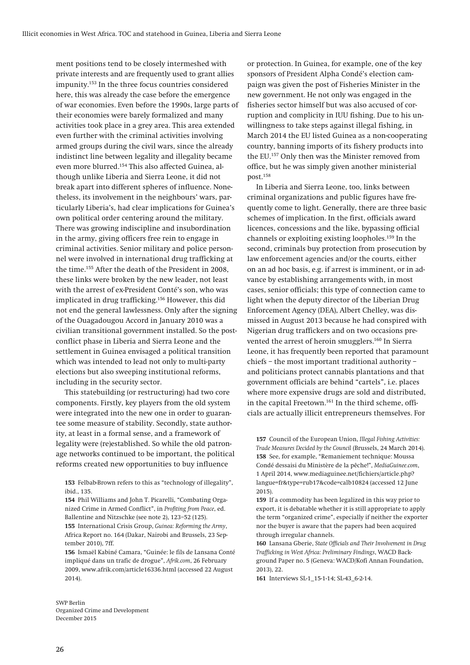**ment positions tend to be closely intermeshed with private interests and are frequently used to grant allies impunity.153 In the three focus countries considered here, this was already the case before the emergence of war economies. Even before the 1990s, large parts of their economies were barely formalized and many activities took place in a grey area. This area extended even further with the criminal activities involving armed groups during the civil wars, since the already indistinct line between legality and illegality became even more blurred.154 This also affected Guinea, although unlike Liberia and Sierra Leone, it did not break apart into different spheres of influence. Nonetheless, its involvement in the neighbours' wars, particularly Liberia's, had clear implications for Guinea's own political order centering around the military. There was growing indiscipline and insubordination in the army, giving officers free rein to engage in criminal activities. Senior military and police personnel were involved in international drug trafficking at the time.155 After the death of the President in 2008, these links were broken by the new leader, not least with the arrest of ex-President Conté's son, who was implicated in drug trafficking.156 However, this did not end the general lawlessness. Only after the signing of the Ouagadougou Accord in January 2010 was a civilian transitional government installed. So the postconflict phase in Liberia and Sierra Leone and the settlement in Guinea envisaged a political transition which was intended to lead not only to multi-party elections but also sweeping institutional reforms, including in the security sector.** 

**This statebuilding (or restructuring) had two core components. Firstly, key players from the old system were integrated into the new one in order to guarantee some measure of stability. Secondly, state authority, at least in a formal sense, and a framework of legality were (re)established. So while the old patronage networks continued to be important, the political reforms created new opportunities to buy influence** 

**153 Felbab-Brown refers to this as "technology of illegality", ibid., 135.** 

**154 Phil Williams and John T. Picarelli, "Combating Organized Crime in Armed Conflict", in** *Profiting from Peace***, ed. Ballentine and Nitzschke (see note 2), 123–52 (125). 155 International Crisis Group,** *Guinea: Reforming the Army***, Africa Report no. 164 (Dakar, Nairobi and Brussels, 23 September 2010), 7ff.** 

**156 Ismaël Kabiné Camara, "Guinée: le fils de Lansana Conté impliqué dans un trafic de drogue",** *Afrik.com***, 26 February 2009, www.afrik.com/article16336.html (accessed 22 August 2014).** 

**or protection. In Guinea, for example, one of the key sponsors of President Alpha Condé's election campaign was given the post of Fisheries Minister in the new government. He not only was engaged in the fisheries sector himself but was also accused of corruption and complicity in IUU fishing. Due to his unwillingness to take steps against illegal fishing, in March 2014 the EU listed Guinea as a non-cooperating country, banning imports of its fishery products into the EU.157 Only then was the Minister removed from office, but he was simply given another ministerial post.158**

**In Liberia and Sierra Leone, too, links between criminal organizations and public figures have frequently come to light. Generally, there are three basic schemes of implication. In the first, officials award licences, concessions and the like, bypassing official channels or exploiting existing loopholes.159 In the second, criminals buy protection from prosecution by law enforcement agencies and/or the courts, either on an ad hoc basis, e.g. if arrest is imminent, or in advance by establishing arrangements with, in most cases, senior officials; this type of connection came to light when the deputy director of the Liberian Drug Enforcement Agency (DEA), Albert Chelley, was dismissed in August 2013 because he had conspired with Nigerian drug traffickers and on two occasions prevented the arrest of heroin smugglers.160 In Sierra Leone, it has frequently been reported that paramount chiefs – the most important traditional authority – and politicians protect cannabis plantations and that government officials are behind "cartels", i.e. places where more expensive drugs are sold and distributed, in the capital Freetown.161 In the third scheme, officials are actually illicit entrepreneurs themselves. For** 

**157 Council of the European Union,** *Illegal Fishing Activities: Trade Measures Decided by the Council* **(Brussels, 24 March 2014). 158 See, for example, "Remaniement technique: Moussa Condé dessaisi du Ministère de la pêche!",** *MediaGuinee.com***, 1 April 2014, www.mediaguinee.net/fichiers/article.php? langue=fr&type=rub17&code=calb10824 (accessed 12 June 2015).** 

**159 If a commodity has been legalized in this way prior to export, it is debatable whether it is still appropriate to apply the term "organized crime", especially if neither the exporter nor the buyer is aware that the papers had been acquired through irregular channels.** 

**160 Lansana Gberie,** *State Officials and Their Involvement in Drug Trafficking in West Africa: Preliminary Findings***, WACD Background Paper no. 5 (Geneva: WACD/Kofi Annan Foundation, 2013), 22.** 

**161 Interviews SL-1\_15-1-14; SL-43\_6-2-14.**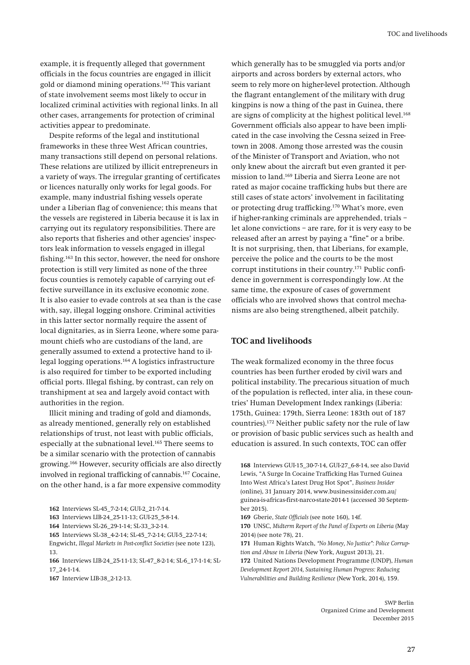**example, it is frequently alleged that government officials in the focus countries are engaged in illicit gold or diamond mining operations.162 This variant of state involvement seems most likely to occur in localized criminal activities with regional links. In all other cases, arrangements for protection of criminal activities appear to predominate.** 

**Despite reforms of the legal and institutional frameworks in these three West African countries, many transactions still depend on personal relations. These relations are utilized by illicit entrepreneurs in a variety of ways. The irregular granting of certificates or licences naturally only works for legal goods. For example, many industrial fishing vessels operate under a Liberian flag of convenience; this means that the vessels are registered in Liberia because it is lax in carrying out its regulatory responsibilities. There are also reports that fisheries and other agencies' inspectors leak information to vessels engaged in illegal fishing.163 In this sector, however, the need for onshore protection is still very limited as none of the three focus counties is remotely capable of carrying out effective surveillance in its exclusive economic zone. It is also easier to evade controls at sea than is the case with, say, illegal logging onshore. Criminal activities in this latter sector normally require the assent of local dignitaries, as in Sierra Leone, where some paramount chiefs who are custodians of the land, are generally assumed to extend a protective hand to illegal logging operations.164 A logistics infrastructure is also required for timber to be exported including official ports. Illegal fishing, by contrast, can rely on transhipment at sea and largely avoid contact with authorities in the region.** 

**Illicit mining and trading of gold and diamonds, as already mentioned, generally rely on established relationships of trust, not least with public officials, especially at the subnational level.165 There seems to be a similar scenario with the protection of cannabis growing.166 However, security officials are also directly involved in regional trafficking of cannabis.167 Cocaine, on the other hand, is a far more expensive commodity** 

**165 Interviews SL-38\_4-2-14; SL-45\_7-2-14; GUI-5\_22-7-14; Engwicht,** *Illegal Markets in Post-conflict Societies* **(see note 123), 13.** 

**166 Interviews LIB-24\_25-11-13; SL-47\_8-2-14; SL-6\_17-1-14; SL-17\_24-1-14.** 

**which generally has to be smuggled via ports and/or airports and across borders by external actors, who seem to rely more on higher-level protection. Although the flagrant entanglement of the military with drug kingpins is now a thing of the past in Guinea, there are signs of complicity at the highest political level.168 Government officials also appear to have been implicated in the case involving the Cessna seized in Freetown in 2008. Among those arrested was the cousin of the Minister of Transport and Aviation, who not only knew about the aircraft but even granted it permission to land.169 Liberia and Sierra Leone are not rated as major cocaine trafficking hubs but there are still cases of state actors' involvement in facilitating or protecting drug trafficking.170 What's more, even if higher-ranking criminals are apprehended, trials – let alone convictions – are rare, for it is very easy to be released after an arrest by paying a "fine" or a bribe. It is not surprising, then, that Liberians, for example, perceive the police and the courts to be the most corrupt institutions in their country.171 Public confidence in government is correspondingly low. At the same time, the exposure of cases of government officials who are involved shows that control mechanisms are also being strengthened, albeit patchily.** 

#### **TOC and livelihoods**

**The weak formalized economy in the three focus countries has been further eroded by civil wars and political instability. The precarious situation of much of the population is reflected, inter alia, in these countries' Human Development Index rankings (Liberia: 175th, Guinea: 179th, Sierra Leone: 183th out of 187 countries).172 Neither public safety nor the rule of law or provision of basic public services such as health and education is assured. In such contexts, TOC can offer** 

**169 Gberie,** *State Officials* **(see note 160), 14f.** 

**170 UNSC,** *Midterm Report of the Panel of Experts on Liberia* **(May 2014) (see note 78), 21.** 

**<sup>162</sup> Interviews SL-45\_7-2-14; GUI-2\_21-7-14.** 

**<sup>163</sup> Interviews LIB-24\_25-11-13; GUI-25\_5-8-14.** 

**<sup>164</sup> Interviews SL-26\_29-1-14; SL-33\_3-2-14.** 

**<sup>167</sup> Interview LIB-38\_2-12-13.** 

**<sup>168</sup> Interviews GUI-15\_30-7-14, GUI-27\_6-8-14, see also David Lewis, "A Surge In Cocaine Trafficking Has Turned Guinea Into West Africa's Latest Drug Hot Spot",** *Business Insider* **(online), 31 January 2014, www.businessinsider.com.au/ guinea-is-africas-first-narco-state-2014-1 (accessed 30 September 2015).** 

**<sup>171</sup> Human Rights Watch,** *"No Money, No Justice": Police Corruption and Abuse in Liberia* **(New York, August 2013), 21.** 

**<sup>172</sup> United Nations Development Programme (UNDP),** *Human Development Report 2014, Sustaining Human Progress: Reducing Vulnerabilities and Building Resilience* **(New York, 2014), 159.**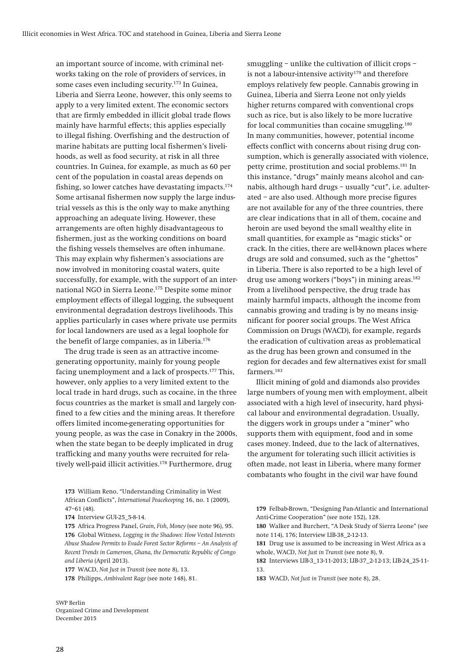**an important source of income, with criminal networks taking on the role of providers of services, in some cases even including security.173 In Guinea, Liberia and Sierra Leone, however, this only seems to apply to a very limited extent. The economic sectors that are firmly embedded in illicit global trade flows mainly have harmful effects; this applies especially to illegal fishing. Overfishing and the destruction of marine habitats are putting local fishermen's livelihoods, as well as food security, at risk in all three countries. In Guinea, for example, as much as 60 per cent of the population in coastal areas depends on fishing, so lower catches have devastating impacts.174 Some artisanal fishermen now supply the large industrial vessels as this is the only way to make anything approaching an adequate living. However, these arrangements are often highly disadvantageous to fishermen, just as the working conditions on board the fishing vessels themselves are often inhumane. This may explain why fishermen's associations are now involved in monitoring coastal waters, quite successfully, for example, with the support of an international NGO in Sierra Leone.175 Despite some minor employment effects of illegal logging, the subsequent environmental degradation destroys livelihoods. This applies particularly in cases where private use permits for local landowners are used as a legal loophole for the benefit of large companies, as in Liberia.176**

**The drug trade is seen as an attractive incomegenerating opportunity, mainly for young people facing unemployment and a lack of prospects.177 This, however, only applies to a very limited extent to the local trade in hard drugs, such as cocaine, in the three focus countries as the market is small and largely confined to a few cities and the mining areas. It therefore offers limited income-generating opportunities for young people, as was the case in Conakry in the 2000s, when the state began to be deeply implicated in drug trafficking and many youths were recruited for relatively well-paid illicit activities.178 Furthermore, drug** 

**smuggling – unlike the cultivation of illicit crops – is not a labour-intensive activity179 and therefore employs relatively few people. Cannabis growing in Guinea, Liberia and Sierra Leone not only yields higher returns compared with conventional crops such as rice, but is also likely to be more lucrative for local communities than cocaine smuggling.180 In many communities, however, potential income effects conflict with concerns about rising drug consumption, which is generally associated with violence, petty crime, prostitution and social problems.181 In this instance, "drugs" mainly means alcohol and cannabis, although hard drugs – usually "cut", i.e. adulterated – are also used. Although more precise figures are not available for any of the three countries, there are clear indications that in all of them, cocaine and heroin are used beyond the small wealthy elite in small quantities, for example as "magic sticks" or crack. In the cities, there are well-known places where drugs are sold and consumed, such as the "ghettos" in Liberia. There is also reported to be a high level of drug use among workers ("boys") in mining areas.182 From a livelihood perspective, the drug trade has mainly harmful impacts, although the income from cannabis growing and trading is by no means insignificant for poorer social groups. The West Africa Commission on Drugs (WACD), for example, regards the eradication of cultivation areas as problematical as the drug has been grown and consumed in the region for decades and few alternatives exist for small farmers.183**

**Illicit mining of gold and diamonds also provides large numbers of young men with employment, albeit associated with a high level of insecurity, hard physical labour and environmental degradation. Usually, the diggers work in groups under a "miner" who supports them with equipment, food and in some cases money. Indeed, due to the lack of alternatives, the argument for tolerating such illicit activities is often made, not least in Liberia, where many former combatants who fought in the civil war have found** 

**180 Walker and Burchert, "A Desk Study of Sierra Leone" (see note 114), 176; Interview LIB-38\_2-12-13.** 

**181 Drug use is assumed to be increasing in West Africa as a whole, WACD,** *Not Just in Transit* **(see note 8), 9.** 

**182 Interviews LIB-3\_13-11-2013; LIB-37\_2-12-13; LIB-24\_25-11- 13.** 

**183 WACD,** *Not Just in Transit* **(see note 8), 28.** 

**<sup>173</sup> William Reno, "Understanding Criminality in West African Conflicts",** *International Peacekeeping* **16, no. 1 (2009), 47–61 (48).** 

**<sup>174</sup> Interview GUI-25\_5-8-14.** 

**<sup>175</sup> Africa Progress Panel,** *Grain, Fish, Money* **(see note 96), 95. 176 Global Witness,** *Logging in the Shadows: How Vested Interests Abuse Shadow Permits to Evade Forest Sector Reforms – An Analysis of Recent Trends in Cameroon, Ghana, the Democratic Republic of Congo and Liberia* **(April 2013).** 

**<sup>177</sup> WACD,** *Not Just in Transit* **(see note 8), 13.** 

**<sup>178</sup> Philipps,** *Ambivalent Rage* **(see note 148), 81.** 

**<sup>179</sup> Felbab-Brown, "Designing Pan-Atlantic and International Anti-Crime Cooperation" (see note 152), 128.**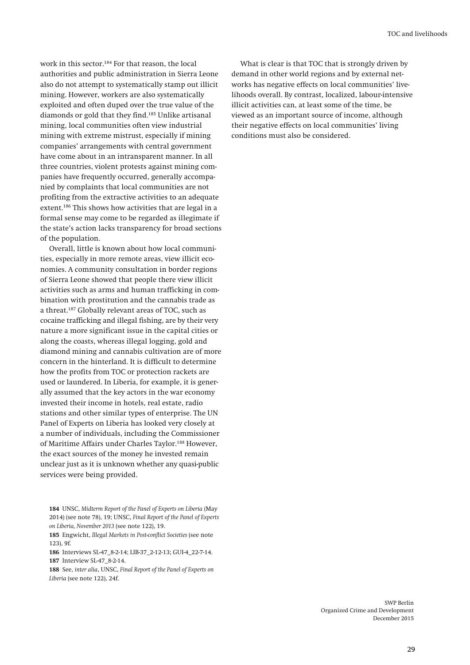**work in this sector.184 For that reason, the local authorities and public administration in Sierra Leone also do not attempt to systematically stamp out illicit mining. However, workers are also systematically exploited and often duped over the true value of the diamonds or gold that they find.185 Unlike artisanal mining, local communities often view industrial mining with extreme mistrust, especially if mining companies' arrangements with central government have come about in an intransparent manner. In all three countries, violent protests against mining companies have frequently occurred, generally accompanied by complaints that local communities are not profiting from the extractive activities to an adequate extent.186 This shows how activities that are legal in a formal sense may come to be regarded as illegimate if the state's action lacks transparency for broad sections of the population.** 

**Overall, little is known about how local communities, especially in more remote areas, view illicit economies. A community consultation in border regions of Sierra Leone showed that people there view illicit activities such as arms and human trafficking in combination with prostitution and the cannabis trade as a threat.187 Globally relevant areas of TOC, such as cocaine trafficking and illegal fishing, are by their very nature a more significant issue in the capital cities or along the coasts, whereas illegal logging, gold and diamond mining and cannabis cultivation are of more concern in the hinterland. It is difficult to determine how the profits from TOC or protection rackets are used or laundered. In Liberia, for example, it is generally assumed that the key actors in the war economy invested their income in hotels, real estate, radio stations and other similar types of enterprise. The UN Panel of Experts on Liberia has looked very closely at a number of individuals, including the Commissioner of Maritime Affairs under Charles Taylor.188 However, the exact sources of the money he invested remain unclear just as it is unknown whether any quasi-public services were being provided.** 

**185 Engwicht,** *Illegal Markets in Post-conflict Societies* **(see note 123), 9f.** 

**186 Interviews SL-47\_8-2-14; LIB-37\_2-12-13; GUI-4\_22-7-14. 187 Interview SL-47\_8-2-14.** 

**188 See,** *inter alia***, UNSC,** *Final Report of the Panel of Experts on Liberia* **(see note 122), 24f.** 

**What is clear is that TOC that is strongly driven by demand in other world regions and by external networks has negative effects on local communities' livelihoods overall. By contrast, localized, labour-intensive illicit activities can, at least some of the time, be viewed as an important source of income, although their negative effects on local communities' living conditions must also be considered.** 

**<sup>184</sup> UNSC,** *Midterm Report of the Panel of Experts on Liberia* **(May 2014) (see note 78), 19; UNSC,** *Final Report of the Panel of Experts on Liberia, November 2013* **(see note 122), 19.**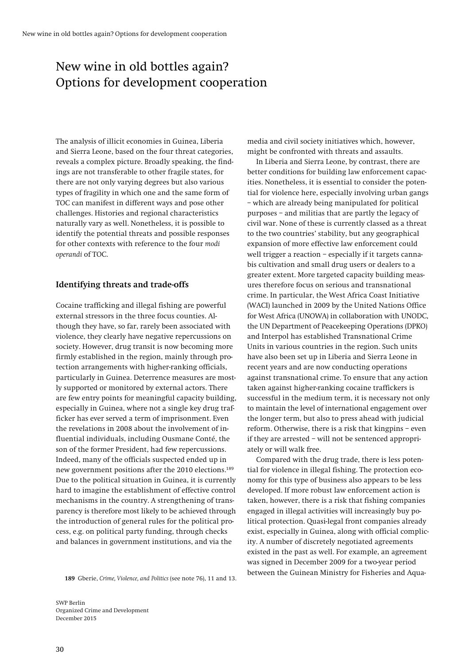# New wine in old bottles again? Options for development cooperation

**The analysis of illicit economies in Guinea, Liberia and Sierra Leone, based on the four threat categories, reveals a complex picture. Broadly speaking, the findings are not transferable to other fragile states, for there are not only varying degrees but also various types of fragility in which one and the same form of TOC can manifest in different ways and pose other challenges. Histories and regional characteristics naturally vary as well. Nonetheless, it is possible to identify the potential threats and possible responses for other contexts with reference to the four** *modi operandi* **of TOC.** 

### **Identifying threats and trade-offs**

**Cocaine trafficking and illegal fishing are powerful external stressors in the three focus counties. Although they have, so far, rarely been associated with violence, they clearly have negative repercussions on society. However, drug transit is now becoming more firmly established in the region, mainly through protection arrangements with higher-ranking officials, particularly in Guinea. Deterrence measures are mostly supported or monitored by external actors. There are few entry points for meaningful capacity building, especially in Guinea, where not a single key drug trafficker has ever served a term of imprisonment. Even the revelations in 2008 about the involvement of influential individuals, including Ousmane Conté, the son of the former President, had few repercussions. Indeed, many of the officials suspected ended up in new government positions after the 2010 elections.189 Due to the political situation in Guinea, it is currently hard to imagine the establishment of effective control mechanisms in the country. A strengthening of transparency is therefore most likely to be achieved through the introduction of general rules for the political process, e.g. on political party funding, through checks and balances in government institutions, and via the** 

**189 Gberie,** *Crime, Violence, and Politics* **(see note 76), 11 and 13.** 

**SWP Berlin Organized Crime and Development December 2015** 

**media and civil society initiatives which, however, might be confronted with threats and assaults.** 

**In Liberia and Sierra Leone, by contrast, there are better conditions for building law enforcement capacities. Nonetheless, it is essential to consider the potential for violence here, especially involving urban gangs – which are already being manipulated for political purposes – and militias that are partly the legacy of civil war. None of these is currently classed as a threat to the two countries' stability, but any geographical expansion of more effective law enforcement could well trigger a reaction – especially if it targets cannabis cultivation and small drug users or dealers to a greater extent. More targeted capacity building measures therefore focus on serious and transnational crime. In particular, the West Africa Coast Initiative (WACI) launched in 2009 by the United Nations Office for West Africa (UNOWA) in collaboration with UNODC, the UN Department of Peacekeeping Operations (DPKO) and Interpol has established Transnational Crime Units in various countries in the region. Such units have also been set up in Liberia and Sierra Leone in recent years and are now conducting operations against transnational crime. To ensure that any action taken against higher-ranking cocaine traffickers is successful in the medium term, it is necessary not only to maintain the level of international engagement over the longer term, but also to press ahead with judicial reform. Otherwise, there is a risk that kingpins – even if they are arrested – will not be sentenced appropriately or will walk free.** 

**Compared with the drug trade, there is less potential for violence in illegal fishing. The protection economy for this type of business also appears to be less developed. If more robust law enforcement action is taken, however, there is a risk that fishing companies engaged in illegal activities will increasingly buy political protection. Quasi-legal front companies already exist, especially in Guinea, along with official complicity. A number of discretely negotiated agreements existed in the past as well. For example, an agreement was signed in December 2009 for a two-year period between the Guinean Ministry for Fisheries and Aqua-**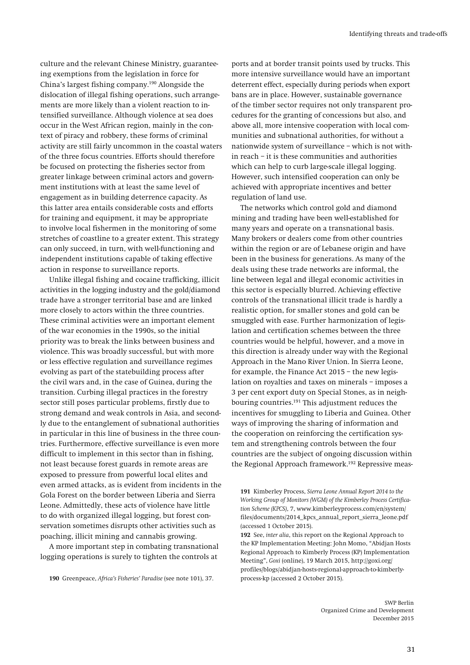**culture and the relevant Chinese Ministry, guaranteeing exemptions from the legislation in force for China's largest fishing company.190 Alongside the dislocation of illegal fishing operations, such arrangements are more likely than a violent reaction to intensified surveillance. Although violence at sea does occur in the West African region, mainly in the context of piracy and robbery, these forms of criminal activity are still fairly uncommon in the coastal waters of the three focus countries. Efforts should therefore be focused on protecting the fisheries sector from greater linkage between criminal actors and government institutions with at least the same level of engagement as in building deterrence capacity. As this latter area entails considerable costs and efforts for training and equipment, it may be appropriate to involve local fishermen in the monitoring of some stretches of coastline to a greater extent. This strategy can only succeed, in turn, with well-functioning and independent institutions capable of taking effective action in response to surveillance reports.** 

**Unlike illegal fishing and cocaine trafficking, illicit activities in the logging industry and the gold/diamond trade have a stronger territorial base and are linked more closely to actors within the three countries. These criminal activities were an important element of the war economies in the 1990s, so the initial priority was to break the links between business and violence. This was broadly successful, but with more or less effective regulation and surveillance regimes evolving as part of the statebuilding process after the civil wars and, in the case of Guinea, during the transition. Curbing illegal practices in the forestry sector still poses particular problems, firstly due to strong demand and weak controls in Asia, and secondly due to the entanglement of subnational authorities in particular in this line of business in the three countries. Furthermore, effective surveillance is even more difficult to implement in this sector than in fishing, not least because forest guards in remote areas are exposed to pressure from powerful local elites and even armed attacks, as is evident from incidents in the Gola Forest on the border between Liberia and Sierra Leone. Admittedly, these acts of violence have little to do with organized illegal logging, but forest conservation sometimes disrupts other activities such as poaching, illicit mining and cannabis growing.** 

**A more important step in combating transnational logging operations is surely to tighten the controls at** 

**ports and at border transit points used by trucks. This more intensive surveillance would have an important deterrent effect, especially during periods when export bans are in place. However, sustainable governance of the timber sector requires not only transparent procedures for the granting of concessions but also, and above all, more intensive cooperation with local communities and subnational authorities, for without a nationwide system of surveillance – which is not within reach – it is these communities and authorities which can help to curb large-scale illegal logging. However, such intensified cooperation can only be achieved with appropriate incentives and better regulation of land use.** 

**The networks which control gold and diamond mining and trading have been well-established for many years and operate on a transnational basis. Many brokers or dealers come from other countries within the region or are of Lebanese origin and have been in the business for generations. As many of the deals using these trade networks are informal, the line between legal and illegal economic activities in this sector is especially blurred. Achieving effective controls of the transnational illicit trade is hardly a realistic option, for smaller stones and gold can be smuggled with ease. Further harmonization of legislation and certification schemes between the three countries would be helpful, however, and a move in this direction is already under way with the Regional Approach in the Mano River Union. In Sierra Leone, for example, the Finance Act 2015 – the new legislation on royalties and taxes on minerals – imposes a 3 per cent export duty on Special Stones, as in neighbouring countries.191 This adjustment reduces the incentives for smuggling to Liberia and Guinea. Other ways of improving the sharing of information and the cooperation on reinforcing the certification system and strengthening controls between the four countries are the subject of ongoing discussion within the Regional Approach framework.192 Repressive meas-**

**192 See,** *inter alia***, this report on the Regional Approach to the KP Implementation Meeting: John Momo, "Abidjan Hosts Regional Approach to Kimberly Process (KP) Implementation Meeting",** *Goxi* **(online), 19 March 2015, http://goxi.org/ profiles/blogs/abidjan-hosts-regional-approach-to-kimberlyprocess-kp (accessed 2 October 2015).** 

**<sup>190</sup> Greenpeace,** *Africa's Fisheries' Paradise* **(see note 101), 37.** 

**<sup>191</sup> Kimberley Process,** *Sierra Leone Annual Report 2014 to the Working Group of Monitors (WGM) of the Kimberley Process Certification Scheme (KPCS)***, 7, www.kimberleyprocess.com/en/system/ files/documents/2014\_kpcs\_annual\_report\_sierra\_leone.pdf (accessed 1 October 2015).**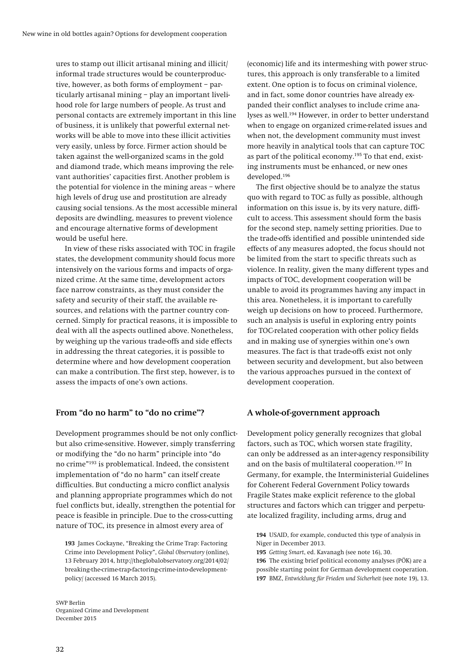**ures to stamp out illicit artisanal mining and illicit/ informal trade structures would be counterproductive, however, as both forms of employment – particularly artisanal mining – play an important livelihood role for large numbers of people. As trust and personal contacts are extremely important in this line of business, it is unlikely that powerful external networks will be able to move into these illicit activities very easily, unless by force. Firmer action should be taken against the well-organized scams in the gold and diamond trade, which means improving the relevant authorities' capacities first. Another problem is the potential for violence in the mining areas – where high levels of drug use and prostitution are already causing social tensions. As the most accessible mineral deposits are dwindling, measures to prevent violence and encourage alternative forms of development would be useful here.** 

**In view of these risks associated with TOC in fragile states, the development community should focus more intensively on the various forms and impacts of organized crime. At the same time, development actors face narrow constraints, as they must consider the safety and security of their staff, the available resources, and relations with the partner country concerned. Simply for practical reasons, it is impossible to deal with all the aspects outlined above. Nonetheless, by weighing up the various trade-offs and side effects in addressing the threat categories, it is possible to determine where and how development cooperation can make a contribution. The first step, however, is to assess the impacts of one's own actions.** 

#### **From "do no harm" to "do no crime"?**

**Development programmes should be not only conflictbut also crime-sensitive. However, simply transferring or modifying the "do no harm" principle into "do no crime"193 is problematical. Indeed, the consistent implementation of "do no harm" can itself create difficulties. But conducting a micro conflict analysis and planning appropriate programmes which do not fuel conflicts but, ideally, strengthen the potential for peace is feasible in principle. Due to the cross-cutting nature of TOC, its presence in almost every area of** 

**193 James Cockayne, "Breaking the Crime Trap: Factoring Crime into Development Policy",** *Global Observatory* **(online), 13 February 2014, http://theglobalobservatory.org/2014/02/ breaking-the-crime-trap-factoring-crime-into-developmentpolicy/ (accessed 16 March 2015).** 

**(economic) life and its intermeshing with power structures, this approach is only transferable to a limited extent. One option is to focus on criminal violence, and in fact, some donor countries have already expanded their conflict analyses to include crime analyses as well.194 However, in order to better understand when to engage on organized crime-related issues and when not, the development community must invest more heavily in analytical tools that can capture TOC as part of the political economy.195 To that end, existing instruments must be enhanced, or new ones developed.196**

**The first objective should be to analyze the status quo with regard to TOC as fully as possible, although information on this issue is, by its very nature, difficult to access. This assessment should form the basis for the second step, namely setting priorities. Due to the trade-offs identified and possible unintended side effects of any measures adopted, the focus should not be limited from the start to specific threats such as violence. In reality, given the many different types and impacts of TOC, development cooperation will be unable to avoid its programmes having any impact in this area. Nonetheless, it is important to carefully weigh up decisions on how to proceed. Furthermore, such an analysis is useful in exploring entry points for TOC-related cooperation with other policy fields and in making use of synergies within one's own measures. The fact is that trade-offs exist not only between security and development, but also between the various approaches pursued in the context of development cooperation.** 

#### **A whole-of-government approach**

**Development policy generally recognizes that global factors, such as TOC, which worsen state fragility, can only be addressed as an inter-agency responsibility and on the basis of multilateral cooperation.197 In Germany, for example, the Interministerial Guidelines for Coherent Federal Government Policy towards Fragile States make explicit reference to the global structures and factors which can trigger and perpetuate localized fragility, including arms, drug and** 

**194 USAID, for example, conducted this type of analysis in Niger in December 2013.** 

*Getting Smart***, ed. Kavanagh (see note 16), 30. The existing brief political economy analyses (PÖK) are a possible starting point for German development cooperation. BMZ,** *Entwicklung für Frieden und Sicherheit* **(see note 19), 13.**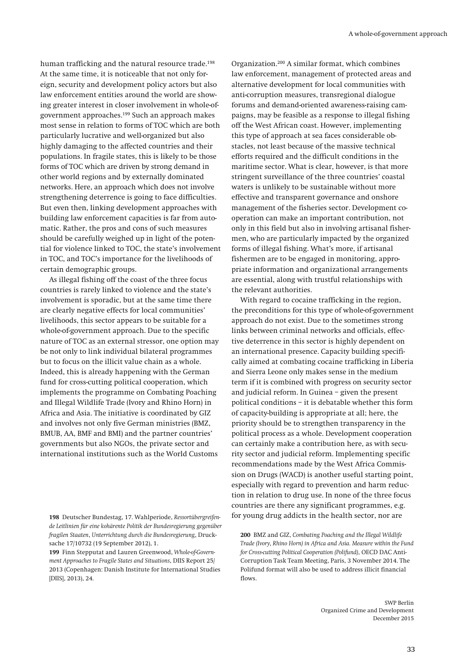**human trafficking and the natural resource trade.198 At the same time, it is noticeable that not only foreign, security and development policy actors but also law enforcement entities around the world are showing greater interest in closer involvement in whole-ofgovernment approaches.199 Such an approach makes most sense in relation to forms of TOC which are both particularly lucrative and well-organized but also highly damaging to the affected countries and their populations. In fragile states, this is likely to be those forms of TOC which are driven by strong demand in other world regions and by externally dominated networks. Here, an approach which does not involve strengthening deterrence is going to face difficulties. But even then, linking development approaches with building law enforcement capacities is far from automatic. Rather, the pros and cons of such measures should be carefully weighed up in light of the potential for violence linked to TOC, the state's involvement in TOC, and TOC's importance for the livelihoods of certain demographic groups.** 

**As illegal fishing off the coast of the three focus countries is rarely linked to violence and the state's involvement is sporadic, but at the same time there are clearly negative effects for local communities' livelihoods, this sector appears to be suitable for a whole-of-government approach. Due to the specific nature of TOC as an external stressor, one option may be not only to link individual bilateral programmes but to focus on the illicit value chain as a whole. Indeed, this is already happening with the German fund for cross-cutting political cooperation, which implements the programme on Combating Poaching and Illegal Wildlife Trade (Ivory and Rhino Horn) in Africa and Asia. The initiative is coordinated by GIZ and involves not only five German ministries (BMZ, BMUB, AA, BMF and BMI) and the partner countries' governments but also NGOs, the private sector and international institutions such as the World Customs** 

**199 Finn Stepputat and Lauren Greenwood,** *Whole-of-Government Approaches to Fragile States and Situations***, DIIS Report 25/ 2013 (Copenhagen: Danish Institute for International Studies [DIIS], 2013), 24.** 

**Organization.200 A similar format, which combines law enforcement, management of protected areas and alternative development for local communities with anti-corruption measures, transregional dialogue forums and demand-oriented awareness-raising campaigns, may be feasible as a response to illegal fishing off the West African coast. However, implementing this type of approach at sea faces considerable obstacles, not least because of the massive technical efforts required and the difficult conditions in the maritime sector. What is clear, however, is that more stringent surveillance of the three countries' coastal waters is unlikely to be sustainable without more effective and transparent governance and onshore management of the fisheries sector. Development cooperation can make an important contribution, not only in this field but also in involving artisanal fishermen, who are particularly impacted by the organized forms of illegal fishing. What's more, if artisanal fishermen are to be engaged in monitoring, appropriate information and organizational arrangements are essential, along with trustful relationships with the relevant authorities.** 

**With regard to cocaine trafficking in the region, the preconditions for this type of whole-of-government approach do not exist. Due to the sometimes strong links between criminal networks and officials, effective deterrence in this sector is highly dependent on an international presence. Capacity building specifically aimed at combating cocaine trafficking in Liberia and Sierra Leone only makes sense in the medium term if it is combined with progress on security sector and judicial reform. In Guinea – given the present political conditions – it is debatable whether this form of capacity-building is appropriate at all; here, the priority should be to strengthen transparency in the political process as a whole. Development cooperation can certainly make a contribution here, as with security sector and judicial reform. Implementing specific recommendations made by the West Africa Commission on Drugs (WACD) is another useful starting point, especially with regard to prevention and harm reduction in relation to drug use. In none of the three focus countries are there any significant programmes, e.g. for young drug addicts in the health sector, nor are** 

**200 BMZ and GIZ,** *Combating Poaching and the Illegal Wildlife Trade (Ivory, Rhino Horn) in Africa and Asia. Measure within the Fund for Cross-cutting Political Cooperation (Polifund)***, OECD DAC Anti-Corruption Task Team Meeting, Paris, 3 November 2014. The Polifund format will also be used to address illicit financial flows.** 

**<sup>198</sup> Deutscher Bundestag, 17. Wahlperiode,** *Ressortübergreifende Leitlinien für eine kohärente Politik der Bundesregierung gegenüber fragilen Staaten***,** *Unterrichtung durch die Bundesregierung***, Drucksache 17/10732 (19 September 2012), 1.**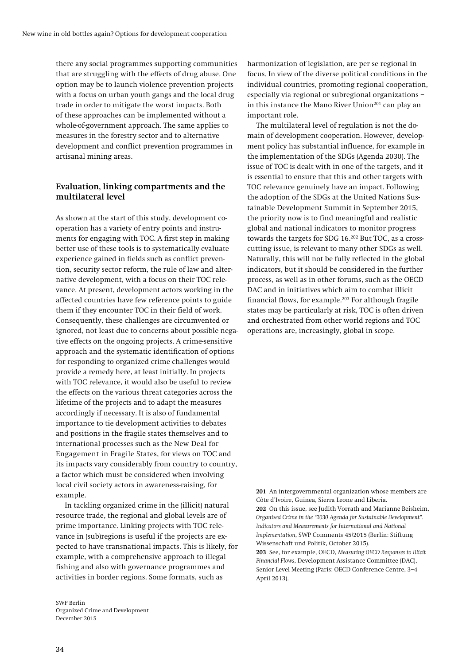**there any social programmes supporting communities that are struggling with the effects of drug abuse. One option may be to launch violence prevention projects with a focus on urban youth gangs and the local drug trade in order to mitigate the worst impacts. Both of these approaches can be implemented without a whole-of-government approach. The same applies to measures in the forestry sector and to alternative development and conflict prevention programmes in artisanal mining areas.** 

### **Evaluation, linking compartments and the multilateral level**

**As shown at the start of this study, development cooperation has a variety of entry points and instruments for engaging with TOC. A first step in making better use of these tools is to systematically evaluate experience gained in fields such as conflict prevention, security sector reform, the rule of law and alternative development, with a focus on their TOC relevance. At present, development actors working in the affected countries have few reference points to guide them if they encounter TOC in their field of work. Consequently, these challenges are circumvented or ignored, not least due to concerns about possible negative effects on the ongoing projects. A crime-sensitive approach and the systematic identification of options for responding to organized crime challenges would provide a remedy here, at least initially. In projects with TOC relevance, it would also be useful to review the effects on the various threat categories across the lifetime of the projects and to adapt the measures accordingly if necessary. It is also of fundamental importance to tie development activities to debates and positions in the fragile states themselves and to international processes such as the New Deal for Engagement in Fragile States, for views on TOC and its impacts vary considerably from country to country, a factor which must be considered when involving local civil society actors in awareness-raising, for example.** 

**In tackling organized crime in the (illicit) natural resource trade, the regional and global levels are of prime importance. Linking projects with TOC relevance in (sub)regions is useful if the projects are expected to have transnational impacts. This is likely, for example, with a comprehensive approach to illegal fishing and also with governance programmes and activities in border regions. Some formats, such as** 

**SWP Berlin Organized Crime and Development December 2015** 

**harmonization of legislation, are per se regional in focus. In view of the diverse political conditions in the individual countries, promoting regional cooperation, especially via regional or subregional organizations –**  in this instance the Mano River Union<sup>201</sup> can play an **important role.** 

**The multilateral level of regulation is not the domain of development cooperation. However, development policy has substantial influence, for example in the implementation of the SDGs (Agenda 2030). The issue of TOC is dealt with in one of the targets, and it is essential to ensure that this and other targets with TOC relevance genuinely have an impact. Following the adoption of the SDGs at the United Nations Sustainable Development Summit in September 2015, the priority now is to find meaningful and realistic global and national indicators to monitor progress towards the targets for SDG 16.202 But TOC, as a crosscutting issue, is relevant to many other SDGs as well. Naturally, this will not be fully reflected in the global indicators, but it should be considered in the further process, as well as in other forums, such as the OECD DAC and in initiatives which aim to combat illicit financial flows, for example.203 For although fragile states may be particularly at risk, TOC is often driven and orchestrated from other world regions and TOC operations are, increasingly, global in scope.** 

**201 An intergovernmental organization whose members are Côte d'Ivoire, Guinea, Sierra Leone and Liberia. 202 On this issue, see Judith Vorrath and Marianne Beisheim,**  *Organised Crime in the "2030 Agenda for Sustainable Development". Indicators and Measurements for International and National Implementation***, SWP Comments 45/2015 (Berlin: Stiftung Wissenschaft und Politik, October 2015). 203 See, for example, OECD,** *Measuring OECD Responses to Illicit Financial Flows***, Development Assistance Committee (DAC), Senior Level Meeting (Paris: OECD Conference Centre, 3–4 April 2013).**